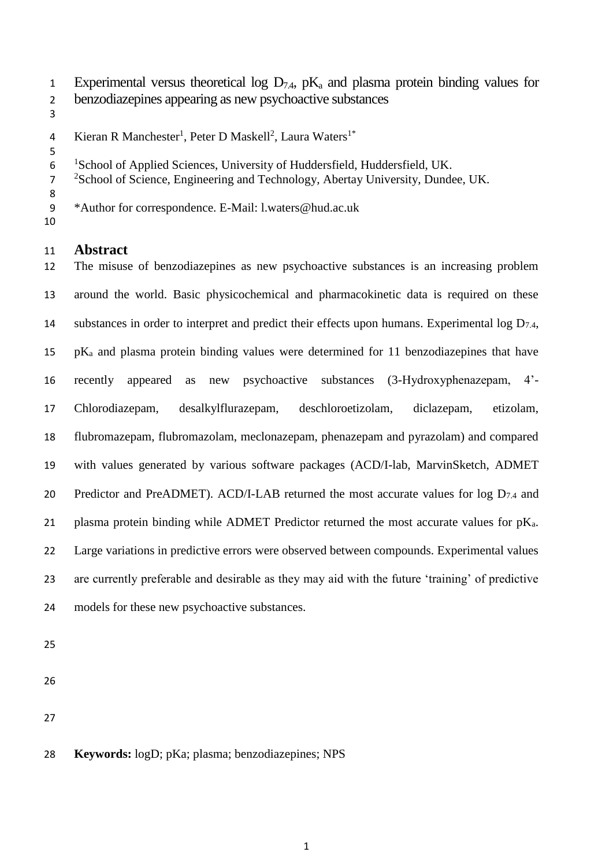- 1 Experimental versus theoretical log  $D_{7,4}$ ,  $pK_a$  and plasma protein binding values for
- benzodiazepines appearing as new psychoactive substances
- 
- 4 Kieran R Manchester<sup>1</sup>, Peter D Maskell<sup>2</sup>, Laura Waters<sup>1\*</sup>
- 6 <sup>1</sup>School of Applied Sciences, University of Huddersfield, Huddersfield, UK.
- <sup>2</sup> School of Science, Engineering and Technology, Abertay University, Dundee, UK.
- \*Author for correspondence. E-Mail: l.waters@hud.ac.uk
- 

# **Abstract**

 The misuse of benzodiazepines as new psychoactive substances is an increasing problem around the world. Basic physicochemical and pharmacokinetic data is required on these 14 substances in order to interpret and predict their effects upon humans. Experimental log  $D_{7,4}$ , pK<sup>a</sup> and plasma protein binding values were determined for 11 benzodiazepines that have recently appeared as new psychoactive substances (3-Hydroxyphenazepam, 4'- Chlorodiazepam, desalkylflurazepam, deschloroetizolam, diclazepam, etizolam, flubromazepam, flubromazolam, meclonazepam, phenazepam and pyrazolam) and compared with values generated by various software packages (ACD/I-lab, MarvinSketch, ADMET 20 Predictor and PreADMET). ACD/I-LAB returned the most accurate values for  $\log D_{7.4}$  and 21 plasma protein binding while ADMET Predictor returned the most accurate values for  $pK_a$ . Large variations in predictive errors were observed between compounds. Experimental values are currently preferable and desirable as they may aid with the future 'training' of predictive models for these new psychoactive substances.

- 
- 
- 

# **Keywords:** logD; pKa; plasma; benzodiazepines; NPS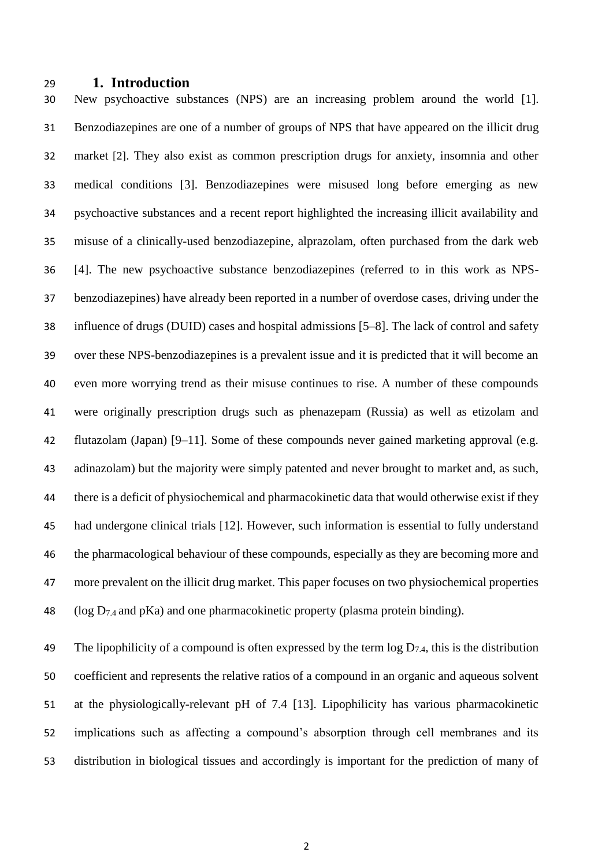### **1. Introduction**

 New psychoactive substances (NPS) are an increasing problem around the world [1]. Benzodiazepines are one of a number of groups of NPS that have appeared on the illicit drug market [2]. They also exist as common prescription drugs for anxiety, insomnia and other medical conditions [3]. Benzodiazepines were misused long before emerging as new psychoactive substances and a recent report highlighted the increasing illicit availability and misuse of a clinically-used benzodiazepine, alprazolam, often purchased from the dark web [4]. The new psychoactive substance benzodiazepines (referred to in this work as NPS- benzodiazepines) have already been reported in a number of overdose cases, driving under the influence of drugs (DUID) cases and hospital admissions [5–8]. The lack of control and safety over these NPS-benzodiazepines is a prevalent issue and it is predicted that it will become an even more worrying trend as their misuse continues to rise. A number of these compounds were originally prescription drugs such as phenazepam (Russia) as well as etizolam and flutazolam (Japan) [9–11]. Some of these compounds never gained marketing approval (e.g. adinazolam) but the majority were simply patented and never brought to market and, as such, there is a deficit of physiochemical and pharmacokinetic data that would otherwise exist if they had undergone clinical trials [12]. However, such information is essential to fully understand the pharmacological behaviour of these compounds, especially as they are becoming more and more prevalent on the illicit drug market. This paper focuses on two physiochemical properties 48 (log  $D_{7,4}$  and pKa) and one pharmacokinetic property (plasma protein binding).

49 The lipophilicity of a compound is often expressed by the term  $\log D_{7.4}$ , this is the distribution coefficient and represents the relative ratios of a compound in an organic and aqueous solvent at the physiologically-relevant pH of 7.4 [13]. Lipophilicity has various pharmacokinetic implications such as affecting a compound's absorption through cell membranes and its distribution in biological tissues and accordingly is important for the prediction of many of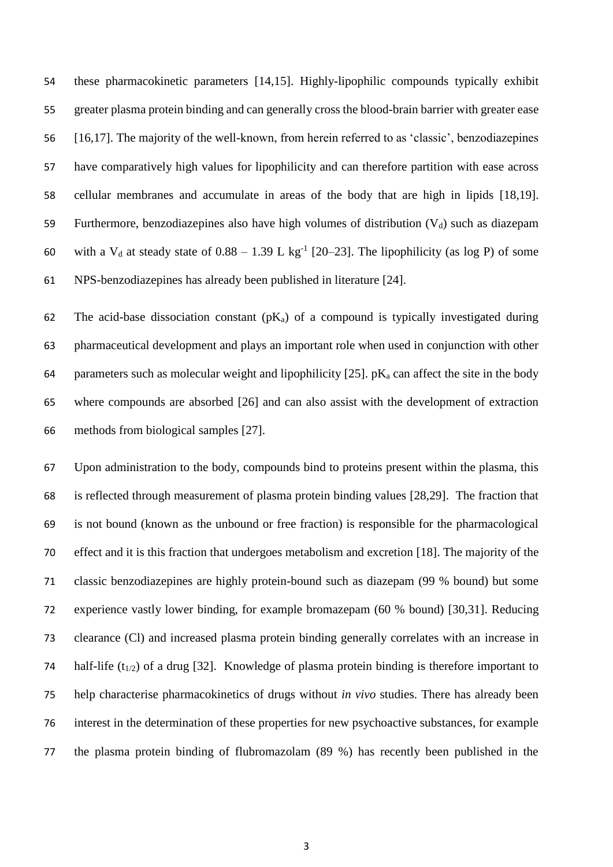these pharmacokinetic parameters [14,15]. Highly-lipophilic compounds typically exhibit greater plasma protein binding and can generally cross the blood-brain barrier with greater ease [16,17]. The majority of the well-known, from herein referred to as 'classic', benzodiazepines have comparatively high values for lipophilicity and can therefore partition with ease across cellular membranes and accumulate in areas of the body that are high in lipids [18,19]. 59 Furthermore, benzodiazepines also have high volumes of distribution  $(V_d)$  such as diazepam 60 with a V<sub>d</sub> at steady state of  $0.88 - 1.39$  L kg<sup>-1</sup> [20–23]. The lipophilicity (as log P) of some NPS-benzodiazepines has already been published in literature [24].

62 The acid-base dissociation constant  $(pK_a)$  of a compound is typically investigated during pharmaceutical development and plays an important role when used in conjunction with other 64 parameters such as molecular weight and lipophilicity [25].  $pK_a$  can affect the site in the body where compounds are absorbed [26] and can also assist with the development of extraction methods from biological samples [27].

 Upon administration to the body, compounds bind to proteins present within the plasma, this is reflected through measurement of plasma protein binding values [28,29]. The fraction that is not bound (known as the unbound or free fraction) is responsible for the pharmacological effect and it is this fraction that undergoes metabolism and excretion [18]. The majority of the classic benzodiazepines are highly protein-bound such as diazepam (99 % bound) but some experience vastly lower binding, for example bromazepam (60 % bound) [30,31]. Reducing clearance (Cl) and increased plasma protein binding generally correlates with an increase in 74 half-life ( $t_{1/2}$ ) of a drug [32]. Knowledge of plasma protein binding is therefore important to help characterise pharmacokinetics of drugs without *in vivo* studies. There has already been interest in the determination of these properties for new psychoactive substances, for example the plasma protein binding of flubromazolam (89 %) has recently been published in the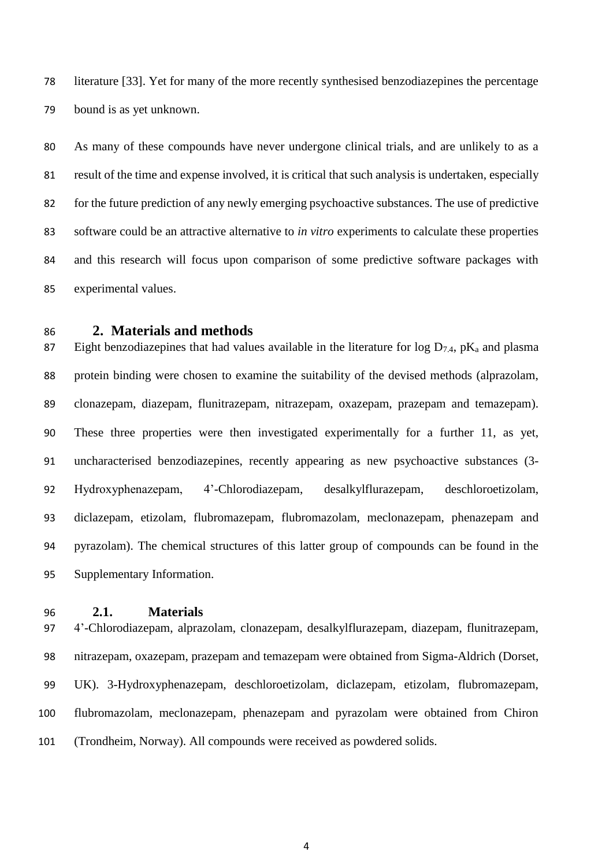literature [33]. Yet for many of the more recently synthesised benzodiazepines the percentage bound is as yet unknown.

 As many of these compounds have never undergone clinical trials, and are unlikely to as a result of the time and expense involved, it is critical that such analysis is undertaken, especially for the future prediction of any newly emerging psychoactive substances. The use of predictive software could be an attractive alternative to *in vitro* experiments to calculate these properties and this research will focus upon comparison of some predictive software packages with experimental values.

# **2. Materials and methods**

87 Eight benzodiazepines that had values available in the literature for  $\log D_{7.4}$ , pK<sub>a</sub> and plasma protein binding were chosen to examine the suitability of the devised methods (alprazolam, clonazepam, diazepam, flunitrazepam, nitrazepam, oxazepam, prazepam and temazepam). These three properties were then investigated experimentally for a further 11, as yet, uncharacterised benzodiazepines, recently appearing as new psychoactive substances (3- Hydroxyphenazepam, 4'-Chlorodiazepam, desalkylflurazepam, deschloroetizolam, diclazepam, etizolam, flubromazepam, flubromazolam, meclonazepam, phenazepam and pyrazolam). The chemical structures of this latter group of compounds can be found in the Supplementary Information.

**2.1. Materials**

 4'-Chlorodiazepam, alprazolam, clonazepam, desalkylflurazepam, diazepam, flunitrazepam, nitrazepam, oxazepam, prazepam and temazepam were obtained from Sigma-Aldrich (Dorset, UK). 3-Hydroxyphenazepam, deschloroetizolam, diclazepam, etizolam, flubromazepam, flubromazolam, meclonazepam, phenazepam and pyrazolam were obtained from Chiron (Trondheim, Norway). All compounds were received as powdered solids.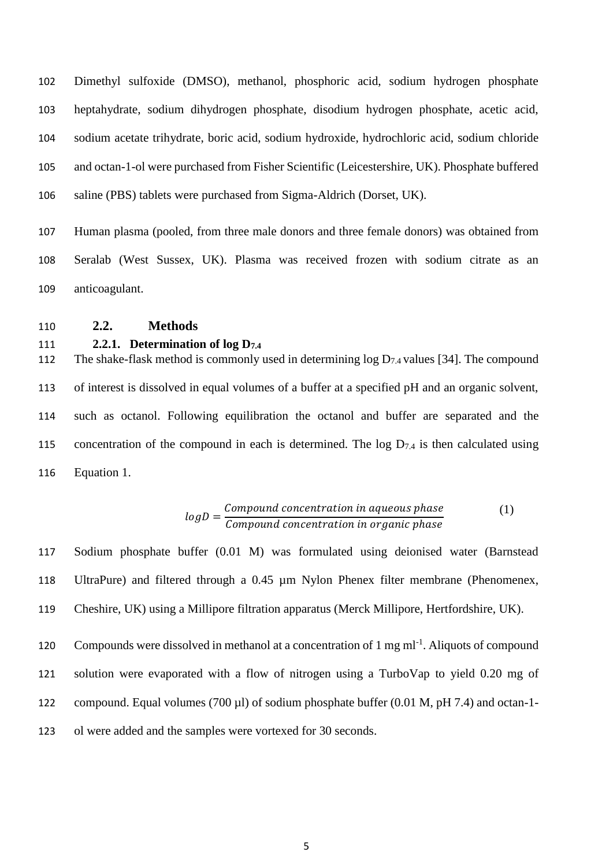Dimethyl sulfoxide (DMSO), methanol, phosphoric acid, sodium hydrogen phosphate heptahydrate, sodium dihydrogen phosphate, disodium hydrogen phosphate, acetic acid, sodium acetate trihydrate, boric acid, sodium hydroxide, hydrochloric acid, sodium chloride and octan-1-ol were purchased from Fisher Scientific (Leicestershire, UK). Phosphate buffered saline (PBS) tablets were purchased from Sigma-Aldrich (Dorset, UK).

 Human plasma (pooled, from three male donors and three female donors) was obtained from Seralab (West Sussex, UK). Plasma was received frozen with sodium citrate as an anticoagulant.

**2.2. Methods**

### **2.2.1. Determination of log D7.4**

112 The shake-flask method is commonly used in determining  $\log D_{7.4}$  values [34]. The compound of interest is dissolved in equal volumes of a buffer at a specified pH and an organic solvent, such as octanol. Following equilibration the octanol and buffer are separated and the 115 concentration of the compound in each is determined. The  $log D_{7.4}$  is then calculated using Equation 1.

$$
logD = \frac{Compound\ concentration\ in\ aqueous\ phase}{Compound\ concentration\ in\ organic\ phase}
$$
 (1)

 Sodium phosphate buffer (0.01 M) was formulated using deionised water (Barnstead UltraPure) and filtered through a 0.45 µm Nylon Phenex filter membrane (Phenomenex, Cheshire, UK) using a Millipore filtration apparatus (Merck Millipore, Hertfordshire, UK).

120 Compounds were dissolved in methanol at a concentration of 1 mg ml<sup>-1</sup>. Aliquots of compound solution were evaporated with a flow of nitrogen using a TurboVap to yield 0.20 mg of compound. Equal volumes (700 µl) of sodium phosphate buffer (0.01 M, pH 7.4) and octan-1-

ol were added and the samples were vortexed for 30 seconds.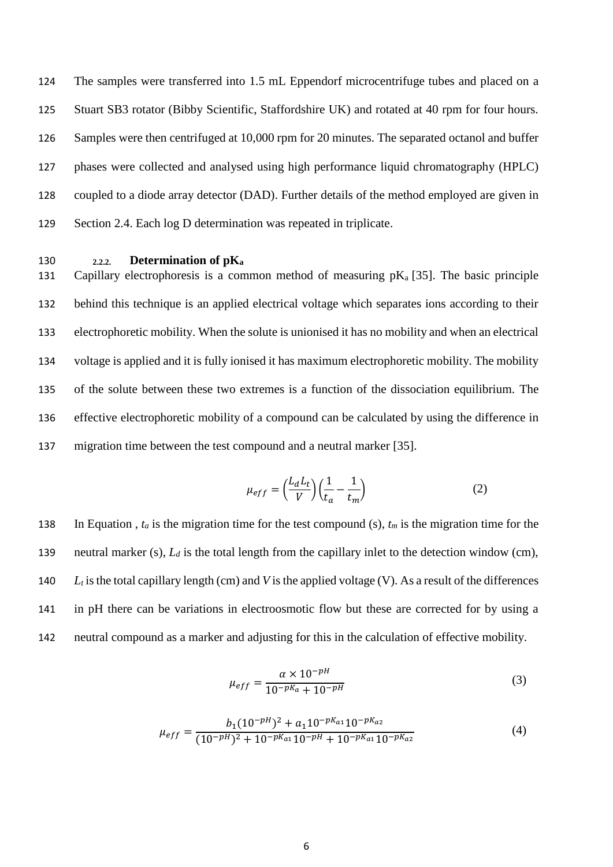The samples were transferred into 1.5 mL Eppendorf microcentrifuge tubes and placed on a Stuart SB3 rotator (Bibby Scientific, Staffordshire UK) and rotated at 40 rpm for four hours. Samples were then centrifuged at 10,000 rpm for 20 minutes. The separated octanol and buffer phases were collected and analysed using high performance liquid chromatography (HPLC) coupled to a diode array detector (DAD). Further details of the method employed are given in Section 2.4. Each log D determination was repeated in triplicate.

## 130 **2.2.2. Determination of pK<sup>a</sup>**

131 Capillary electrophoresis is a common method of measuring  $pK_a$  [35]. The basic principle behind this technique is an applied electrical voltage which separates ions according to their electrophoretic mobility. When the solute is unionised it has no mobility and when an electrical voltage is applied and it is fully ionised it has maximum electrophoretic mobility. The mobility of the solute between these two extremes is a function of the dissociation equilibrium. The effective electrophoretic mobility of a compound can be calculated by using the difference in migration time between the test compound and a neutral marker [35].

$$
\mu_{eff} = \left(\frac{L_d L_t}{V}\right) \left(\frac{1}{t_a} - \frac{1}{t_m}\right) \tag{2}
$$

138 In Equation ,  $t_a$  is the migration time for the test compound (s),  $t_m$  is the migration time for the neutral marker (s), *L<sup>d</sup>* is the total length from the capillary inlet to the detection window (cm), *L<sup>t</sup>* is the total capillary length (cm) and *V* is the applied voltage (V). As a result of the differences in pH there can be variations in electroosmotic flow but these are corrected for by using a neutral compound as a marker and adjusting for this in the calculation of effective mobility.

$$
\mu_{eff} = \frac{\alpha \times 10^{-pH}}{10^{-pKa} + 10^{-pH}}
$$
\n(3)

$$
\mu_{eff} = \frac{b_1 (10^{-pH})^2 + a_1 10^{-pK_{a1}} 10^{-pK_{a2}}}{(10^{-pH})^2 + 10^{-pK_{a1}} 10^{-pH} + 10^{-pK_{a1}} 10^{-pK_{a2}}}
$$
(4)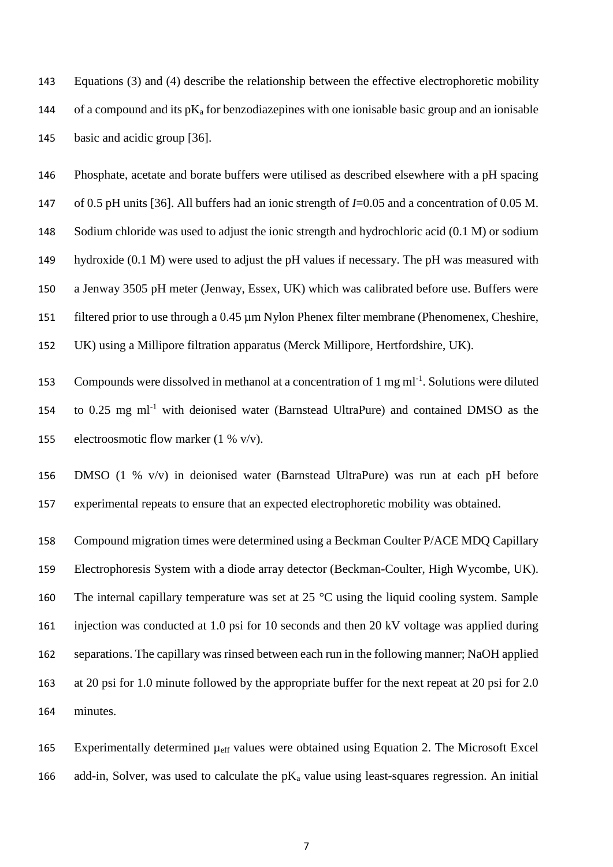Equations (3) and (4) describe the relationship between the effective electrophoretic mobility 144 of a compound and its p $K_a$  for benzodiazepines with one ionisable basic group and an ionisable basic and acidic group [36].

 Phosphate, acetate and borate buffers were utilised as described elsewhere with a pH spacing of 0.5 pH units [36]. All buffers had an ionic strength of *I*=0.05 and a concentration of 0.05 M. Sodium chloride was used to adjust the ionic strength and hydrochloric acid (0.1 M) or sodium hydroxide (0.1 M) were used to adjust the pH values if necessary. The pH was measured with a Jenway 3505 pH meter (Jenway, Essex, UK) which was calibrated before use. Buffers were filtered prior to use through a 0.45 µm Nylon Phenex filter membrane (Phenomenex, Cheshire, UK) using a Millipore filtration apparatus (Merck Millipore, Hertfordshire, UK).

153 Compounds were dissolved in methanol at a concentration of 1 mg ml<sup>-1</sup>. Solutions were diluted 154 to 0.25 mg ml<sup>-1</sup> with deionised water (Barnstead UltraPure) and contained DMSO as the electroosmotic flow marker (1 % v/v).

 DMSO (1 % v/v) in deionised water (Barnstead UltraPure) was run at each pH before experimental repeats to ensure that an expected electrophoretic mobility was obtained.

 Compound migration times were determined using a Beckman Coulter P/ACE MDQ Capillary Electrophoresis System with a diode array detector (Beckman-Coulter, High Wycombe, UK). 160 The internal capillary temperature was set at  $25^{\circ}$ C using the liquid cooling system. Sample injection was conducted at 1.0 psi for 10 seconds and then 20 kV voltage was applied during separations. The capillary was rinsed between each run in the following manner; NaOH applied at 20 psi for 1.0 minute followed by the appropriate buffer for the next repeat at 20 psi for 2.0 minutes.

 Experimentally determined µeff values were obtained using Equation 2. The Microsoft Excel 166 add-in, Solver, was used to calculate the  $pK_a$  value using least-squares regression. An initial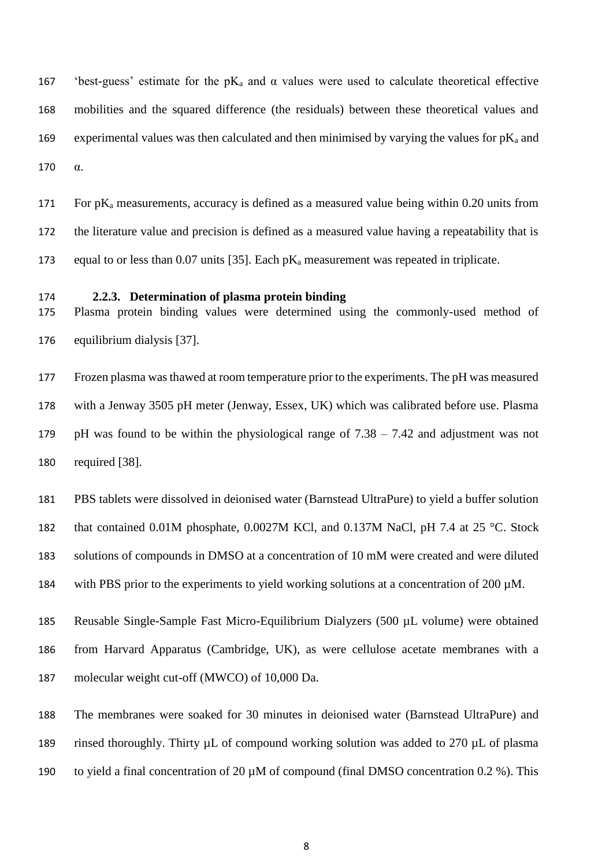167 'best-guess' estimate for the  $pK_a$  and  $\alpha$  values were used to calculate theoretical effective mobilities and the squared difference (the residuals) between these theoretical values and 169 experimental values was then calculated and then minimised by varying the values for  $pK_a$  and α.

171 For  $pK_a$  measurements, accuracy is defined as a measured value being within 0.20 units from the literature value and precision is defined as a measured value having a repeatability that is 173 equal to or less than 0.07 units [35]. Each  $pK_a$  measurement was repeated in triplicate.

### **2.2.3. Determination of plasma protein binding**

 Plasma protein binding values were determined using the commonly-used method of equilibrium dialysis [37].

 Frozen plasma was thawed at room temperature prior to the experiments. The pH was measured with a Jenway 3505 pH meter (Jenway, Essex, UK) which was calibrated before use. Plasma pH was found to be within the physiological range of 7.38 – 7.42 and adjustment was not required [38].

PBS tablets were dissolved in deionised water (Barnstead UltraPure) to yield a buffer solution

182 that contained 0.01M phosphate, 0.0027M KCl, and 0.137M NaCl, pH 7.4 at 25 °C. Stock

solutions of compounds in DMSO at a concentration of 10 mM were created and were diluted

with PBS prior to the experiments to yield working solutions at a concentration of 200 µM.

 Reusable Single-Sample Fast Micro-Equilibrium Dialyzers (500 µL volume) were obtained from Harvard Apparatus (Cambridge, UK), as were cellulose acetate membranes with a molecular weight cut-off (MWCO) of 10,000 Da.

 The membranes were soaked for 30 minutes in deionised water (Barnstead UltraPure) and rinsed thoroughly. Thirty µL of compound working solution was added to 270 µL of plasma

to yield a final concentration of 20 µM of compound (final DMSO concentration 0.2 %). This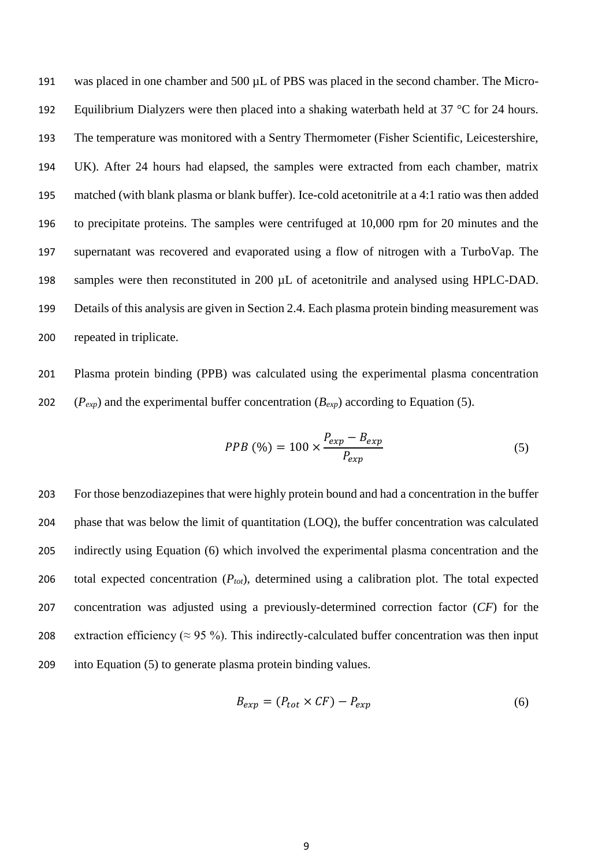was placed in one chamber and 500 µL of PBS was placed in the second chamber. The Micro-192 Equilibrium Dialyzers were then placed into a shaking waterbath held at  $37 \degree C$  for 24 hours. The temperature was monitored with a Sentry Thermometer (Fisher Scientific, Leicestershire, UK). After 24 hours had elapsed, the samples were extracted from each chamber, matrix matched (with blank plasma or blank buffer). Ice-cold acetonitrile at a 4:1 ratio was then added to precipitate proteins. The samples were centrifuged at 10,000 rpm for 20 minutes and the supernatant was recovered and evaporated using a flow of nitrogen with a TurboVap. The 198 samples were then reconstituted in 200  $\mu$ L of acetonitrile and analysed using HPLC-DAD. Details of this analysis are given in Section 2.4. Each plasma protein binding measurement was repeated in triplicate.

 Plasma protein binding (PPB) was calculated using the experimental plasma concentration 202  $(P_{exp})$  and the experimental buffer concentration  $(B_{exp})$  according to Equation (5).

$$
PPB \text{ } (\%) = 100 \times \frac{P_{exp} - B_{exp}}{P_{exp}} \tag{5}
$$

 For those benzodiazepines that were highly protein bound and had a concentration in the buffer phase that was below the limit of quantitation (LOQ), the buffer concentration was calculated indirectly using Equation (6) which involved the experimental plasma concentration and the total expected concentration (*Ptot*), determined using a calibration plot. The total expected concentration was adjusted using a previously-determined correction factor (*CF*) for the 208 extraction efficiency ( $\approx$  95 %). This indirectly-calculated buffer concentration was then input into Equation (5) to generate plasma protein binding values.

$$
B_{exp} = (P_{tot} \times CF) - P_{exp}
$$
 (6)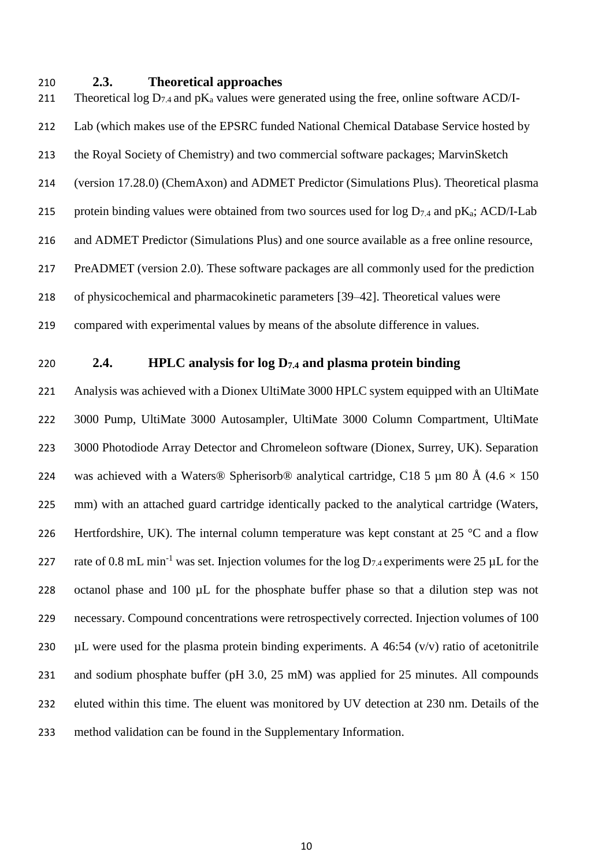### **2.3. Theoretical approaches**

211 Theoretical log  $D_{7,4}$  and  $pK_a$  values were generated using the free, online software ACD/I- Lab (which makes use of the EPSRC funded National Chemical Database Service hosted by the Royal Society of Chemistry) and two commercial software packages; MarvinSketch (version 17.28.0) (ChemAxon) and ADMET Predictor (Simulations Plus). Theoretical plasma 215 protein binding values were obtained from two sources used for  $\log D_{7.4}$  and  $pK_a$ ; ACD/I-Lab and ADMET Predictor (Simulations Plus) and one source available as a free online resource, PreADMET (version 2.0). These software packages are all commonly used for the prediction of physicochemical and pharmacokinetic parameters [39–42]. Theoretical values were compared with experimental values by means of the absolute difference in values.

# **2.4. HPLC analysis for log D7.4 and plasma protein binding**

 Analysis was achieved with a Dionex UltiMate 3000 HPLC system equipped with an UltiMate 3000 Pump, UltiMate 3000 Autosampler, UltiMate 3000 Column Compartment, UltiMate 3000 Photodiode Array Detector and Chromeleon software (Dionex, Surrey, UK). Separation 224 was achieved with a Waters® Spherisorb® analytical cartridge, C18 5 µm 80 Å (4.6  $\times$  150 mm) with an attached guard cartridge identically packed to the analytical cartridge (Waters, 226 Hertfordshire, UK). The internal column temperature was kept constant at  $25 \text{ °C}$  and a flow 227 rate of 0.8 mL min<sup>-1</sup> was set. Injection volumes for the log  $D_{7.4}$  experiments were 25 µL for the octanol phase and 100 µL for the phosphate buffer phase so that a dilution step was not necessary. Compound concentrations were retrospectively corrected. Injection volumes of 100  $\mu$ L were used for the plasma protein binding experiments. A 46:54 (v/v) ratio of acetonitrile and sodium phosphate buffer (pH 3.0, 25 mM) was applied for 25 minutes. All compounds eluted within this time. The eluent was monitored by UV detection at 230 nm. Details of the method validation can be found in the Supplementary Information.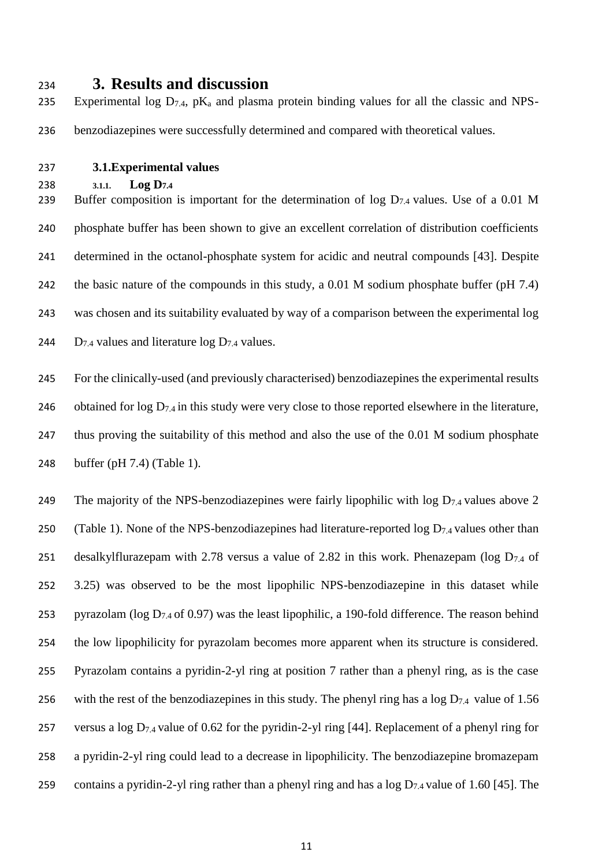# <sup>234</sup> **3. Results and discussion**

235 Experimental log  $D_{7.4}$ , pK<sub>a</sub> and plasma protein binding values for all the classic and NPS-236 benzodiazepines were successfully determined and compared with theoretical values.

- 237 **3.1.Experimental values**
- 238 **3.1.1. Log D7.4**

239 Buffer composition is important for the determination of log  $D_{7,4}$  values. Use of a 0.01 M 240 phosphate buffer has been shown to give an excellent correlation of distribution coefficients 241 determined in the octanol-phosphate system for acidic and neutral compounds [43]. Despite 242 the basic nature of the compounds in this study, a 0.01 M sodium phosphate buffer (pH 7.4) 243 was chosen and its suitability evaluated by way of a comparison between the experimental log 244 D<sub>7.4</sub> values and literature  $log D_{7.4}$  values.

 For the clinically-used (and previously characterised) benzodiazepines the experimental results 246 obtained for  $\log D_{7.4}$  in this study were very close to those reported elsewhere in the literature, thus proving the suitability of this method and also the use of the 0.01 M sodium phosphate buffer (pH 7.4) (Table 1).

249 The majority of the NPS-benzodiazepines were fairly lipophilic with  $\log D_{7.4}$  values above 2 250 (Table 1). None of the NPS-benzodiazepines had literature-reported log  $D_{7,4}$  values other than 251 desalkylflurazepam with 2.78 versus a value of 2.82 in this work. Phenazepam ( $\log D_{7.4}$  of 252 3.25) was observed to be the most lipophilic NPS-benzodiazepine in this dataset while 253 pyrazolam ( $\log D_{7,4}$  of 0.97) was the least lipophilic, a 190-fold difference. The reason behind 254 the low lipophilicity for pyrazolam becomes more apparent when its structure is considered. 255 Pyrazolam contains a pyridin-2-yl ring at position 7 rather than a phenyl ring, as is the case 256 with the rest of the benzodiazepines in this study. The phenyl ring has a log  $D_{7.4}$  value of 1.56 257 versus a log  $D_{7,4}$  value of 0.62 for the pyridin-2-yl ring [44]. Replacement of a phenyl ring for 258 a pyridin-2-yl ring could lead to a decrease in lipophilicity. The benzodiazepine bromazepam 259 contains a pyridin-2-yl ring rather than a phenyl ring and has a  $\log D_{7.4}$  value of 1.60 [45]. The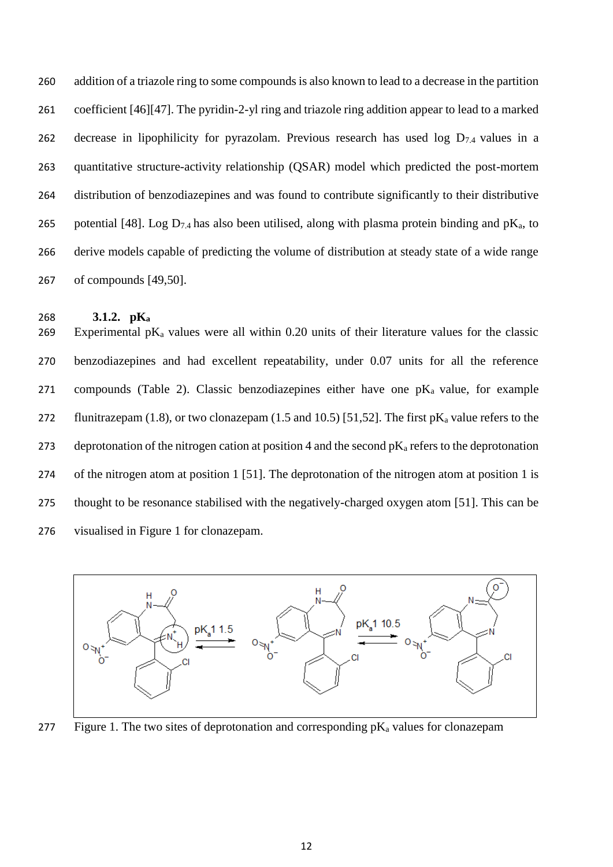addition of a triazole ring to some compounds is also known to lead to a decrease in the partition coefficient [46][47]. The pyridin-2-yl ring and triazole ring addition appear to lead to a marked 262 decrease in lipophilicity for pyrazolam. Previous research has used log  $D_{7,4}$  values in a quantitative structure-activity relationship (QSAR) model which predicted the post-mortem distribution of benzodiazepines and was found to contribute significantly to their distributive 265 potential [48]. Log  $D_{7,4}$  has also been utilised, along with plasma protein binding and pK<sub>a</sub>, to derive models capable of predicting the volume of distribution at steady state of a wide range of compounds [49,50].

### **3.1.2. pK<sup>a</sup>**

269 Experimental  $pK_a$  values were all within 0.20 units of their literature values for the classic benzodiazepines and had excellent repeatability, under 0.07 units for all the reference 271 compounds (Table 2). Classic benzodiazepines either have one  $pK_a$  value, for example 272 flunitrazepam (1.8), or two clonazepam (1.5 and 10.5) [51,52]. The first  $pK_a$  value refers to the 273 deprotonation of the nitrogen cation at position 4 and the second  $pK_a$  refers to the deprotonation of the nitrogen atom at position 1 [51]. The deprotonation of the nitrogen atom at position 1 is thought to be resonance stabilised with the negatively-charged oxygen atom [51]. This can be visualised in Figure 1 for clonazepam.



277 Figure 1. The two sites of deprotonation and corresponding  $pK_a$  values for clonazepam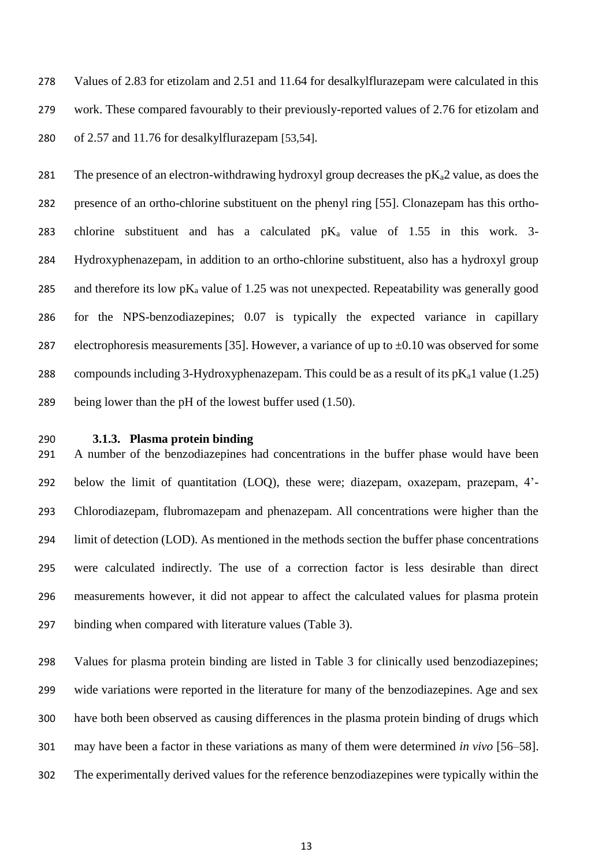Values of 2.83 for etizolam and 2.51 and 11.64 for desalkylflurazepam were calculated in this work. These compared favourably to their previously-reported values of 2.76 for etizolam and of 2.57 and 11.76 for desalkylflurazepam [53,54].

281 The presence of an electron-withdrawing hydroxyl group decreases the  $p_{a}Z$  value, as does the presence of an ortho-chlorine substituent on the phenyl ring [55]. Clonazepam has this ortho-283 chlorine substituent and has a calculated  $pK_a$  value of 1.55 in this work. 3- Hydroxyphenazepam, in addition to an ortho-chlorine substituent, also has a hydroxyl group 285 and therefore its low  $pK_a$  value of 1.25 was not unexpected. Repeatability was generally good for the NPS-benzodiazepines; 0.07 is typically the expected variance in capillary 287 electrophoresis measurements [35]. However, a variance of up to  $\pm 0.10$  was observed for some 288 compounds including 3-Hydroxyphenazepam. This could be as a result of its  $pK_a1$  value (1.25) being lower than the pH of the lowest buffer used (1.50).

### **3.1.3. Plasma protein binding**

 A number of the benzodiazepines had concentrations in the buffer phase would have been below the limit of quantitation (LOQ), these were; diazepam, oxazepam, prazepam, 4'- Chlorodiazepam, flubromazepam and phenazepam. All concentrations were higher than the limit of detection (LOD). As mentioned in the methods section the buffer phase concentrations were calculated indirectly. The use of a correction factor is less desirable than direct measurements however, it did not appear to affect the calculated values for plasma protein binding when compared with literature values (Table 3).

 Values for plasma protein binding are listed in Table 3 for clinically used benzodiazepines; wide variations were reported in the literature for many of the benzodiazepines. Age and sex have both been observed as causing differences in the plasma protein binding of drugs which may have been a factor in these variations as many of them were determined *in vivo* [56–58]. The experimentally derived values for the reference benzodiazepines were typically within the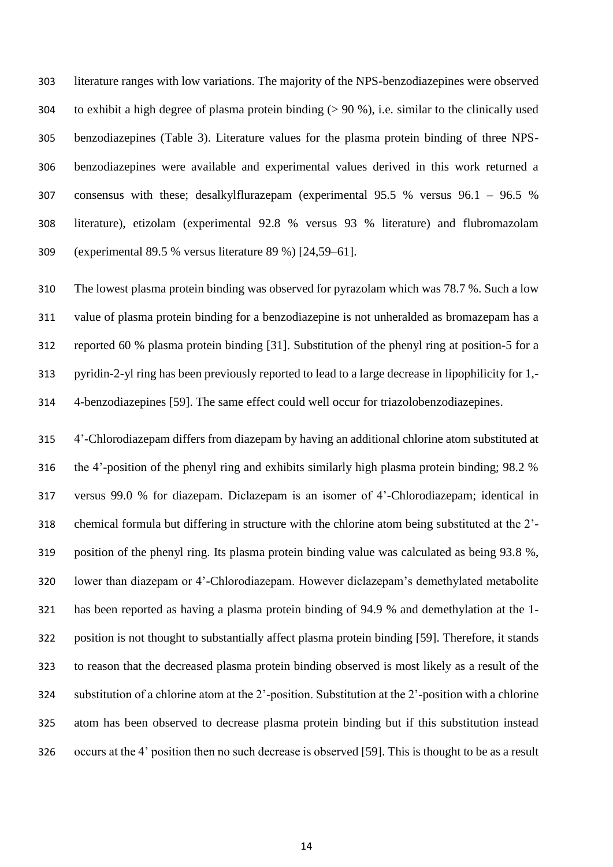literature ranges with low variations. The majority of the NPS-benzodiazepines were observed 304 to exhibit a high degree of plasma protein binding  $(> 90\%)$ , i.e. similar to the clinically used benzodiazepines (Table 3). Literature values for the plasma protein binding of three NPS- benzodiazepines were available and experimental values derived in this work returned a consensus with these; desalkylflurazepam (experimental 95.5 % versus 96.1 – 96.5 % literature), etizolam (experimental 92.8 % versus 93 % literature) and flubromazolam (experimental 89.5 % versus literature 89 %) [24,59–61].

 The lowest plasma protein binding was observed for pyrazolam which was 78.7 %. Such a low value of plasma protein binding for a benzodiazepine is not unheralded as bromazepam has a reported 60 % plasma protein binding [31]. Substitution of the phenyl ring at position-5 for a pyridin-2-yl ring has been previously reported to lead to a large decrease in lipophilicity for 1,- 4-benzodiazepines [59]. The same effect could well occur for triazolobenzodiazepines.

 4'-Chlorodiazepam differs from diazepam by having an additional chlorine atom substituted at the 4'-position of the phenyl ring and exhibits similarly high plasma protein binding; 98.2 % versus 99.0 % for diazepam. Diclazepam is an isomer of 4'-Chlorodiazepam; identical in chemical formula but differing in structure with the chlorine atom being substituted at the 2'- position of the phenyl ring. Its plasma protein binding value was calculated as being 93.8 %, lower than diazepam or 4'-Chlorodiazepam. However diclazepam's demethylated metabolite has been reported as having a plasma protein binding of 94.9 % and demethylation at the 1- position is not thought to substantially affect plasma protein binding [59]. Therefore, it stands to reason that the decreased plasma protein binding observed is most likely as a result of the substitution of a chlorine atom at the 2'-position. Substitution at the 2'-position with a chlorine atom has been observed to decrease plasma protein binding but if this substitution instead occurs at the 4' position then no such decrease is observed [59]. This is thought to be as a result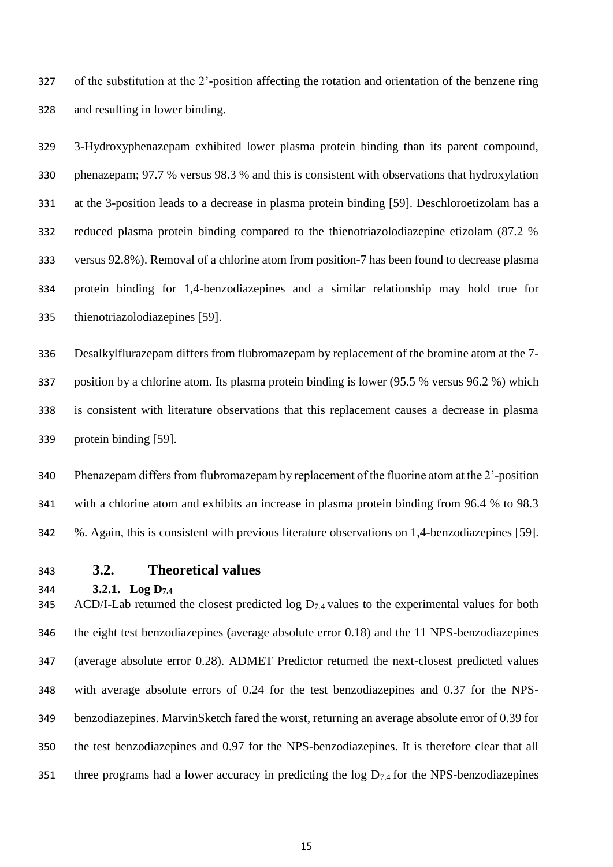of the substitution at the 2'-position affecting the rotation and orientation of the benzene ring and resulting in lower binding.

 3-Hydroxyphenazepam exhibited lower plasma protein binding than its parent compound, phenazepam; 97.7 % versus 98.3 % and this is consistent with observations that hydroxylation at the 3-position leads to a decrease in plasma protein binding [59]. Deschloroetizolam has a reduced plasma protein binding compared to the thienotriazolodiazepine etizolam (87.2 % versus 92.8%). Removal of a chlorine atom from position-7 has been found to decrease plasma protein binding for 1,4-benzodiazepines and a similar relationship may hold true for thienotriazolodiazepines [59].

 Desalkylflurazepam differs from flubromazepam by replacement of the bromine atom at the 7- position by a chlorine atom. Its plasma protein binding is lower (95.5 % versus 96.2 %) which is consistent with literature observations that this replacement causes a decrease in plasma protein binding [59].

 Phenazepam differs from flubromazepam by replacement of the fluorine atom at the 2'-position with a chlorine atom and exhibits an increase in plasma protein binding from 96.4 % to 98.3 %. Again, this is consistent with previous literature observations on 1,4-benzodiazepines [59].

# **3.2. Theoretical values**

**3.2.1. Log D7.4**

345 ACD/I-Lab returned the closest predicted  $\log D_{7.4}$  values to the experimental values for both the eight test benzodiazepines (average absolute error 0.18) and the 11 NPS-benzodiazepines (average absolute error 0.28). ADMET Predictor returned the next-closest predicted values with average absolute errors of 0.24 for the test benzodiazepines and 0.37 for the NPS- benzodiazepines. MarvinSketch fared the worst, returning an average absolute error of 0.39 for the test benzodiazepines and 0.97 for the NPS-benzodiazepines. It is therefore clear that all 351 three programs had a lower accuracy in predicting the log  $D_{7,4}$  for the NPS-benzodiazepines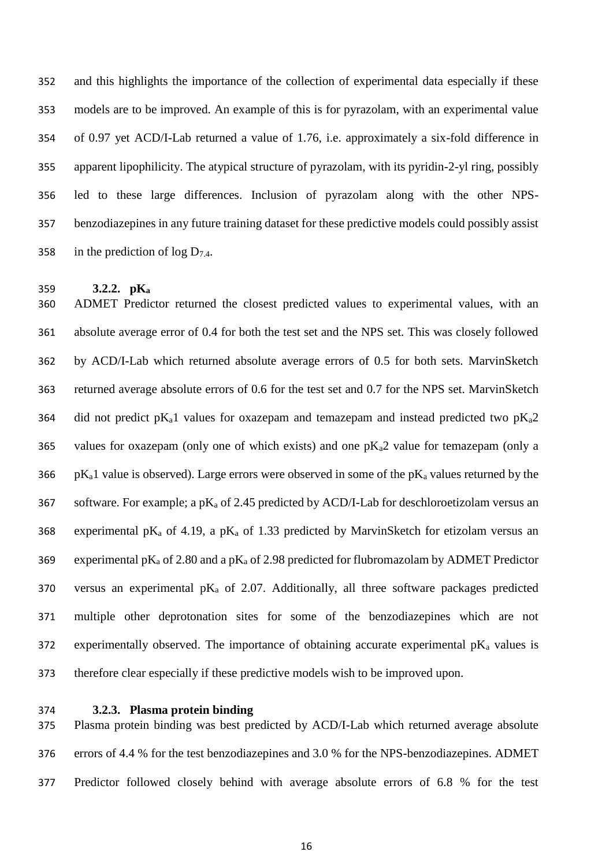and this highlights the importance of the collection of experimental data especially if these models are to be improved. An example of this is for pyrazolam, with an experimental value of 0.97 yet ACD/I-Lab returned a value of 1.76, i.e. approximately a six-fold difference in apparent lipophilicity. The atypical structure of pyrazolam, with its pyridin-2-yl ring, possibly led to these large differences. Inclusion of pyrazolam along with the other NPS- benzodiazepines in any future training dataset for these predictive models could possibly assist 358 in the prediction of  $\log D_{7.4}$ .

#### **3.2.2. pK<sup>a</sup>**

 ADMET Predictor returned the closest predicted values to experimental values, with an absolute average error of 0.4 for both the test set and the NPS set. This was closely followed by ACD/I-Lab which returned absolute average errors of 0.5 for both sets. MarvinSketch returned average absolute errors of 0.6 for the test set and 0.7 for the NPS set. MarvinSketch 364 did not predict pK<sub>a</sub>1 values for oxazepam and temazepam and instead predicted two pK<sub>a</sub>2 365 values for oxazepam (only one of which exists) and one  $pK<sub>a</sub>2$  value for temazepam (only a 366 pK<sub>a</sub>1 value is observed). Large errors were observed in some of the pK<sub>a</sub> values returned by the 367 software. For example; a  $p_{a}$  of 2.45 predicted by ACD/I-Lab for deschloroetizolam versus an 368 experimental pK<sub>a</sub> of 4.19, a pK<sub>a</sub> of 1.33 predicted by MarvinSketch for etizolam versus an 369 experimental pK<sub>a</sub> of 2.80 and a pK<sub>a</sub> of 2.98 predicted for flubromazolam by ADMET Predictor 370 versus an experimental  $p_{4a}$  of 2.07. Additionally, all three software packages predicted multiple other deprotonation sites for some of the benzodiazepines which are not 372 experimentally observed. The importance of obtaining accurate experimental  $pK_a$  values is therefore clear especially if these predictive models wish to be improved upon.

### **3.2.3. Plasma protein binding**

 Plasma protein binding was best predicted by ACD/I-Lab which returned average absolute errors of 4.4 % for the test benzodiazepines and 3.0 % for the NPS-benzodiazepines. ADMET Predictor followed closely behind with average absolute errors of 6.8 % for the test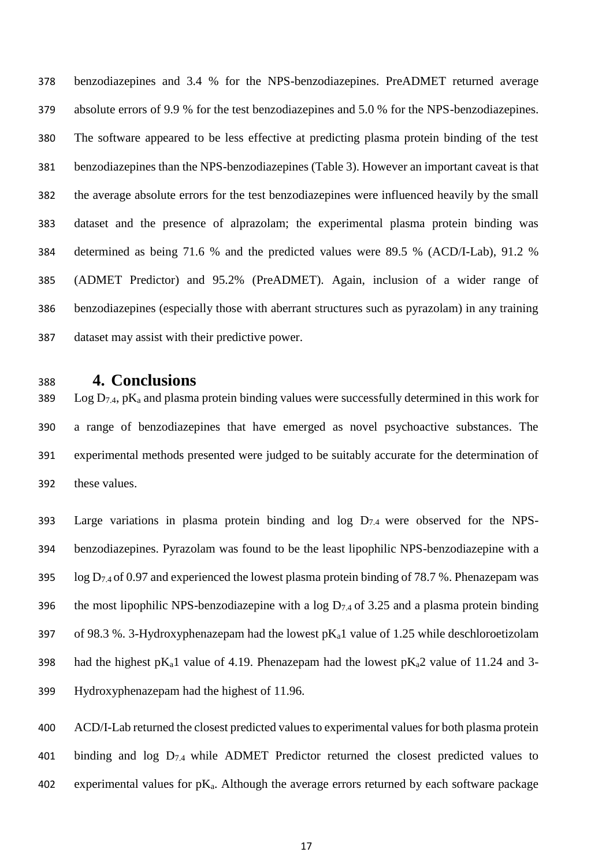benzodiazepines and 3.4 % for the NPS-benzodiazepines. PreADMET returned average absolute errors of 9.9 % for the test benzodiazepines and 5.0 % for the NPS-benzodiazepines. The software appeared to be less effective at predicting plasma protein binding of the test benzodiazepines than the NPS-benzodiazepines (Table 3). However an important caveat is that the average absolute errors for the test benzodiazepines were influenced heavily by the small dataset and the presence of alprazolam; the experimental plasma protein binding was determined as being 71.6 % and the predicted values were 89.5 % (ACD/I-Lab), 91.2 % (ADMET Predictor) and 95.2% (PreADMET). Again, inclusion of a wider range of benzodiazepines (especially those with aberrant structures such as pyrazolam) in any training dataset may assist with their predictive power.

# **4. Conclusions**

389 Log  $D_{7,4}$ , pK<sub>a</sub> and plasma protein binding values were successfully determined in this work for a range of benzodiazepines that have emerged as novel psychoactive substances. The experimental methods presented were judged to be suitably accurate for the determination of these values.

393 Large variations in plasma protein binding and  $log D_{7,4}$  were observed for the NPS- benzodiazepines. Pyrazolam was found to be the least lipophilic NPS-benzodiazepine with a 395 log  $D_{7.4}$  of 0.97 and experienced the lowest plasma protein binding of 78.7 %. Phenazepam was 396 the most lipophilic NPS-benzodiazepine with a log  $D_{7,4}$  of 3.25 and a plasma protein binding 397 of 98.3 %. 3-Hydroxyphenazepam had the lowest  $pK_a1$  value of 1.25 while deschloroetizolam 398 had the highest pK<sub>a</sub>1 value of 4.19. Phenazepam had the lowest pK<sub>a</sub>2 value of 11.24 and 3-Hydroxyphenazepam had the highest of 11.96.

 ACD/I-Lab returned the closest predicted values to experimental values for both plasma protein 401 binding and log  $D_{7,4}$  while ADMET Predictor returned the closest predicted values to 402 experimental values for  $pK_a$ . Although the average errors returned by each software package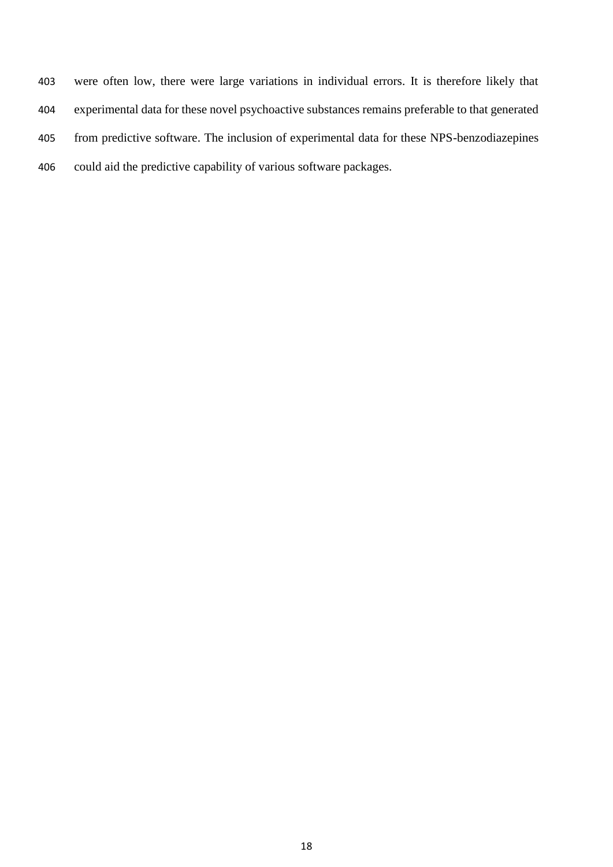were often low, there were large variations in individual errors. It is therefore likely that experimental data for these novel psychoactive substances remains preferable to that generated from predictive software. The inclusion of experimental data for these NPS-benzodiazepines could aid the predictive capability of various software packages.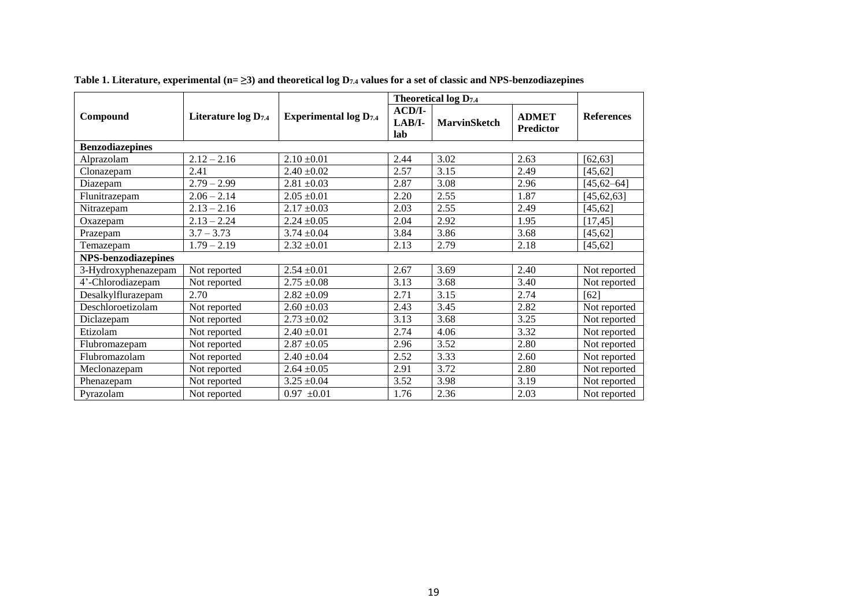|                            |                     |                               |                           | <b>Theoretical log D7.4</b> |                                  |                   |  |
|----------------------------|---------------------|-------------------------------|---------------------------|-----------------------------|----------------------------------|-------------------|--|
| Compound                   | Literature log D7.4 | <b>Experimental log D</b> 7.4 | $ACD/I-$<br>LAB/I-<br>lab | <b>MarvinSketch</b>         | <b>ADMET</b><br><b>Predictor</b> | <b>References</b> |  |
| <b>Benzodiazepines</b>     |                     |                               |                           |                             |                                  |                   |  |
| Alprazolam                 | $2.12 - 2.16$       | $2.10 \pm 0.01$               | 2.44                      | 3.02                        | 2.63                             | [62, 63]          |  |
| Clonazepam                 | 2.41                | $2.40 \pm 0.02$               | 2.57                      | 3.15                        | 2.49                             | [45, 62]          |  |
| Diazepam                   | $2.79 - 2.99$       | $2.81 \pm 0.03$               | 2.87                      | 3.08                        | 2.96                             | $[45, 62 - 64]$   |  |
| Flunitrazepam              | $2.06 - 2.14$       | $2.05 \pm 0.01$               | 2.20                      | 2.55                        | 1.87                             | [45, 62, 63]      |  |
| Nitrazepam                 | $2.13 - 2.16$       | $2.17 \pm 0.03$               | 2.03                      | 2.55                        | 2.49                             | [45, 62]          |  |
| Oxazepam                   | $2.13 - 2.24$       | $2.24 \pm 0.05$               | 2.04                      | 2.92                        | 1.95                             | [17, 45]          |  |
| Prazepam                   | $3.7 - 3.73$        | $3.74 \pm 0.04$               | 3.84                      | 3.86                        | 3.68                             | [45, 62]          |  |
| Temazepam                  | $1.79 - 2.19$       | $2.32 \pm 0.01$               | 2.13                      | 2.79                        | 2.18                             | [45, 62]          |  |
| <b>NPS-benzodiazepines</b> |                     |                               |                           |                             |                                  |                   |  |
| 3-Hydroxyphenazepam        | Not reported        | $2.54 \pm 0.01$               | 2.67                      | 3.69                        | 2.40                             | Not reported      |  |
| 4'-Chlorodiazepam          | Not reported        | $2.75 \pm 0.08$               | 3.13                      | 3.68                        | 3.40                             | Not reported      |  |
| Desalkylflurazepam         | 2.70                | $2.82 \pm 0.09$               | 2.71                      | 3.15                        | 2.74                             | [62]              |  |
| Deschloroetizolam          | Not reported        | $2.60 \pm 0.03$               | 2.43                      | 3.45                        | 2.82                             | Not reported      |  |
| Diclazepam                 | Not reported        | $2.73 \pm 0.02$               | 3.13                      | 3.68                        | 3.25                             | Not reported      |  |
| Etizolam                   | Not reported        | $2.40 \pm 0.01$               | 2.74                      | 4.06                        | 3.32                             | Not reported      |  |
| Flubromazepam              | Not reported        | $2.87 \pm 0.05$               | 2.96                      | 3.52                        | 2.80                             | Not reported      |  |
| Flubromazolam              | Not reported        | $2.40 \pm 0.04$               | 2.52                      | 3.33                        | 2.60                             | Not reported      |  |
| Meclonazepam               | Not reported        | $2.64 \pm 0.05$               | 2.91                      | 3.72                        | 2.80                             | Not reported      |  |
| Phenazepam                 | Not reported        | $3.25 \pm 0.04$               | 3.52                      | 3.98                        | 3.19                             | Not reported      |  |
| Pyrazolam                  | Not reported        | $0.97 \pm 0.01$               | 1.76                      | 2.36                        | 2.03                             | Not reported      |  |

|  |  |  | Table 1. Literature, experimental (n= $\geq$ 3) and theoretical log D7.4 values for a set of classic and NPS-benzodiazepines |  |  |
|--|--|--|------------------------------------------------------------------------------------------------------------------------------|--|--|
|--|--|--|------------------------------------------------------------------------------------------------------------------------------|--|--|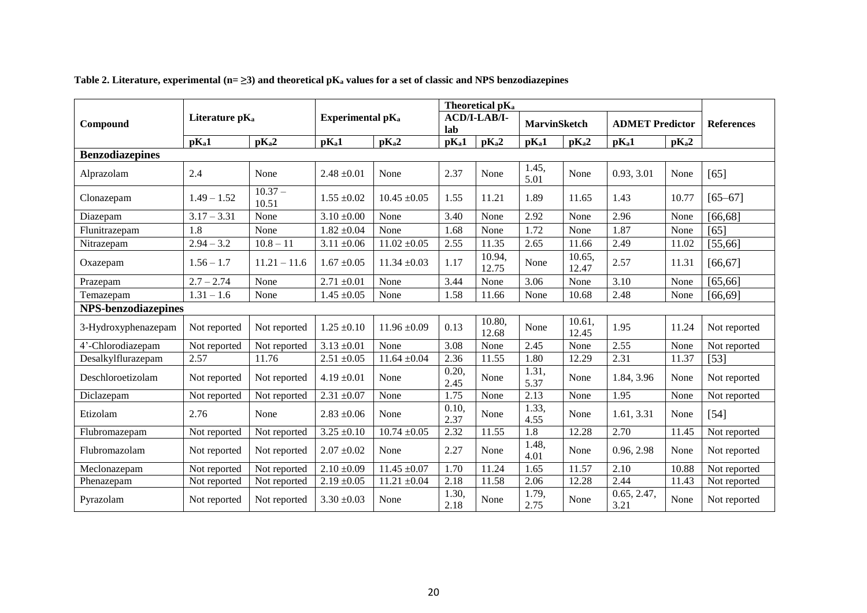|                            |                            |                    |                              |                   |                   | Theoretical pK <sub>a</sub> |                     |                   |                        |                   | <b>References</b> |  |
|----------------------------|----------------------------|--------------------|------------------------------|-------------------|-------------------|-----------------------------|---------------------|-------------------|------------------------|-------------------|-------------------|--|
| Compound                   | Literature pK <sub>a</sub> |                    | Experimental pK <sub>a</sub> |                   | lab               | ACD/I-LAB/I-                | <b>MarvinSketch</b> |                   | <b>ADMET Predictor</b> |                   |                   |  |
|                            | pKa1                       | pK <sub>a</sub> 2  | pKa1                         | pK <sub>a</sub> 2 | pK <sub>a</sub> 1 | pK <sub>a</sub> 2           | pK <sub>a</sub> 1   | pK <sub>a</sub> 2 | pK <sub>a</sub> 1      | pK <sub>a</sub> 2 |                   |  |
| <b>Benzodiazepines</b>     |                            |                    |                              |                   |                   |                             |                     |                   |                        |                   |                   |  |
| Alprazolam                 | 2.4                        | None               | $2.48 \pm 0.01$              | None              | 2.37              | None                        | 1.45,<br>5.01       | None              | 0.93, 3.01             | None              | $[65]$            |  |
| Clonazepam                 | $1.49 - 1.52$              | $10.37 -$<br>10.51 | $1.55 \pm 0.02$              | $10.45 \pm 0.05$  | 1.55              | 11.21                       | 1.89                | 11.65             | 1.43                   | 10.77             | $[65 - 67]$       |  |
| Diazepam                   | $3.17 - 3.31$              | None               | $3.10 \pm 0.00$              | None              | 3.40              | None                        | 2.92                | None              | 2.96                   | None              | [66, 68]          |  |
| Flunitrazepam              | 1.8                        | None               | $1.82 \pm 0.04$              | None              | 1.68              | None                        | 1.72                | None              | 1.87                   | None              | [65]              |  |
| Nitrazepam                 | $2.94 - 3.2$               | $10.8 - 11$        | $3.11 \pm 0.06$              | $11.02 \pm 0.05$  | 2.55              | 11.35                       | 2.65                | 11.66             | 2.49                   | 11.02             | [55, 66]          |  |
| Oxazepam                   | $1.56 - 1.7$               | $11.21 - 11.6$     | $1.67 \pm 0.05$              | $11.34 \pm 0.03$  | 1.17              | 10.94,<br>12.75             | None                | 10.65,<br>12.47   | 2.57                   | 11.31             | [66, 67]          |  |
| Prazepam                   | $2.7 - 2.74$               | None               | $2.71 \pm 0.01$              | None              | 3.44              | None                        | 3.06                | None              | 3.10                   | None              | [65, 66]          |  |
| Temazepam                  | $1.31 - 1.6$               | None               | $1.45 \pm 0.05$              | None              | 1.58              | 11.66                       | None                | 10.68             | 2.48                   | None              | [66, 69]          |  |
| <b>NPS-benzodiazepines</b> |                            |                    |                              |                   |                   |                             |                     |                   |                        |                   |                   |  |
| 3-Hydroxyphenazepam        | Not reported               | Not reported       | $1.25 \pm 0.10$              | $11.96 \pm 0.09$  | 0.13              | 10.80,<br>12.68             | None                | 10.61.<br>12.45   | 1.95                   | 11.24             | Not reported      |  |
| 4'-Chlorodiazepam          | Not reported               | Not reported       | $3.13 \pm 0.01$              | None              | 3.08              | None                        | 2.45                | None              | 2.55                   | None              | Not reported      |  |
| Desalkylflurazepam         | 2.57                       | 11.76              | $2.51 \pm 0.05$              | $11.64 \pm 0.04$  | 2.36              | 11.55                       | 1.80                | 12.29             | 2.31                   | 11.37             | $[53]$            |  |
| Deschloroetizolam          | Not reported               | Not reported       | $4.19 \pm 0.01$              | None              | 0.20,<br>2.45     | None                        | 1.31,<br>5.37       | None              | 1.84, 3.96             | None              | Not reported      |  |
| Diclazepam                 | Not reported               | Not reported       | $2.31 \pm 0.07$              | None              | 1.75              | None                        | $\overline{2.13}$   | None              | 1.95                   | None              | Not reported      |  |
| Etizolam                   | 2.76                       | None               | $2.83 \pm 0.06$              | None              | 0.10.<br>2.37     | None                        | 1.33,<br>4.55       | None              | 1.61, 3.31             | None              | $[54]$            |  |
| Flubromazepam              | Not reported               | Not reported       | $3.25 \pm 0.10$              | $10.74 \pm 0.05$  | 2.32              | 11.55                       | $\overline{1.8}$    | 12.28             | 2.70                   | 11.45             | Not reported      |  |
| Flubromazolam              | Not reported               | Not reported       | $2.07 \pm 0.02$              | None              | 2.27              | None                        | 1.48,<br>4.01       | None              | 0.96, 2.98             | None              | Not reported      |  |
| Meclonazepam               | Not reported               | Not reported       | $2.10 \pm 0.09$              | $11.45 \pm 0.07$  | 1.70              | 11.24                       | 1.65                | 11.57             | 2.10                   | 10.88             | Not reported      |  |
| Phenazepam                 | Not reported               | Not reported       | $2.19 \pm 0.05$              | $11.21 \pm 0.04$  | 2.18              | 11.58                       | 2.06                | 12.28             | 2.44                   | 11.43             | Not reported      |  |
| Pyrazolam                  | Not reported               | Not reported       | $3.30 \pm 0.03$              | None              | 1.30,<br>2.18     | None                        | 1.79,<br>2.75       | None              | 0.65, 2.47,<br>3.21    | None              | Not reported      |  |

**Table 2. Literature, experimental (n= ≥3) and theoretical pK<sup>a</sup> values for a set of classic and NPS benzodiazepines**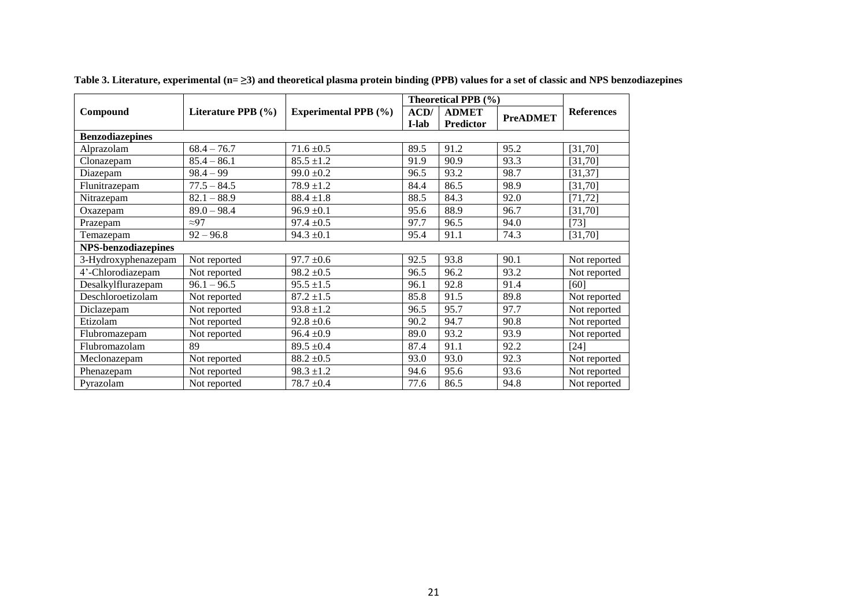|                            |                        |                             | Theoretical PPB (%) |              |                 |                   |
|----------------------------|------------------------|-----------------------------|---------------------|--------------|-----------------|-------------------|
| Compound                   | Literature PPB $(\% )$ | <b>Experimental PPB</b> (%) | ACD/                | <b>ADMET</b> | <b>PreADMET</b> | <b>References</b> |
|                            |                        |                             | I-lab               | Predictor    |                 |                   |
| <b>Benzodiazepines</b>     |                        |                             |                     |              |                 |                   |
| Alprazolam                 | $68.4 - 76.7$          | $71.6 \pm 0.5$              | 89.5                | 91.2         | 95.2            | [31,70]           |
| Clonazepam                 | $85.4 - 86.1$          | $85.5 \pm 1.2$              | 91.9                | 90.9         | 93.3            | [31,70]           |
| Diazepam                   | $98.4 - 99$            | $99.0 \pm 0.2$              | 96.5                | 93.2         | 98.7            | [31, 37]          |
| Flunitrazepam              | $77.5 - 84.5$          | $78.9 \pm 1.2$              | 84.4                | 86.5         | 98.9            | [31,70]           |
| Nitrazepam                 | $82.1 - 88.9$          | $88.4 \pm 1.8$              | 88.5                | 84.3         | 92.0            | [71, 72]          |
| Oxazepam                   | $89.0 - 98.4$          | $96.9 \pm 0.1$              | 95.6                | 88.9         | 96.7            | [31,70]           |
| Prazepam                   | $\approx$ 97           | $97.4 \pm 0.5$              | 97.7                | 96.5         | 94.0            | $[73]$            |
| Temazepam                  | $92 - 96.8$            | $94.3 \pm 0.1$              | 95.4                | 91.1         | 74.3            | [31,70]           |
| <b>NPS-benzodiazepines</b> |                        |                             |                     |              |                 |                   |
| 3-Hydroxyphenazepam        | Not reported           | $97.7 \pm 0.6$              | 92.5                | 93.8         | 90.1            | Not reported      |
| 4'-Chlorodiazepam          | Not reported           | $98.2 \pm 0.5$              | 96.5                | 96.2         | 93.2            | Not reported      |
| Desalkylflurazepam         | $96.1 - 96.5$          | $95.5 \pm 1.5$              | 96.1                | 92.8         | 91.4            | [60]              |
| Deschloroetizolam          | Not reported           | $87.2 \pm 1.5$              | 85.8                | 91.5         | 89.8            | Not reported      |
| Diclazepam                 | Not reported           | $93.8 \pm 1.2$              | 96.5                | 95.7         | 97.7            | Not reported      |
| Etizolam                   | Not reported           | $92.8 \pm 0.6$              | 90.2                | 94.7         | 90.8            | Not reported      |
| Flubromazepam              | Not reported           | $96.4 \pm 0.9$              | 89.0                | 93.2         | 93.9            | Not reported      |
| Flubromazolam              | 89                     | $89.5 \pm 0.4$              | 87.4                | 91.1         | 92.2            | $[24]$            |
| Meclonazepam               | Not reported           | $88.2 \pm 0.5$              | 93.0                | 93.0         | 92.3            | Not reported      |
| Phenazepam                 | Not reported           | $98.3 \pm 1.2$              | 94.6                | 95.6         | 93.6            | Not reported      |
| Pyrazolam                  | Not reported           | $78.7 \pm 0.4$              | 77.6                | 86.5         | 94.8            | Not reported      |

**Table 3. Literature, experimental (n= ≥3) and theoretical plasma protein binding (PPB) values for a set of classic and NPS benzodiazepines**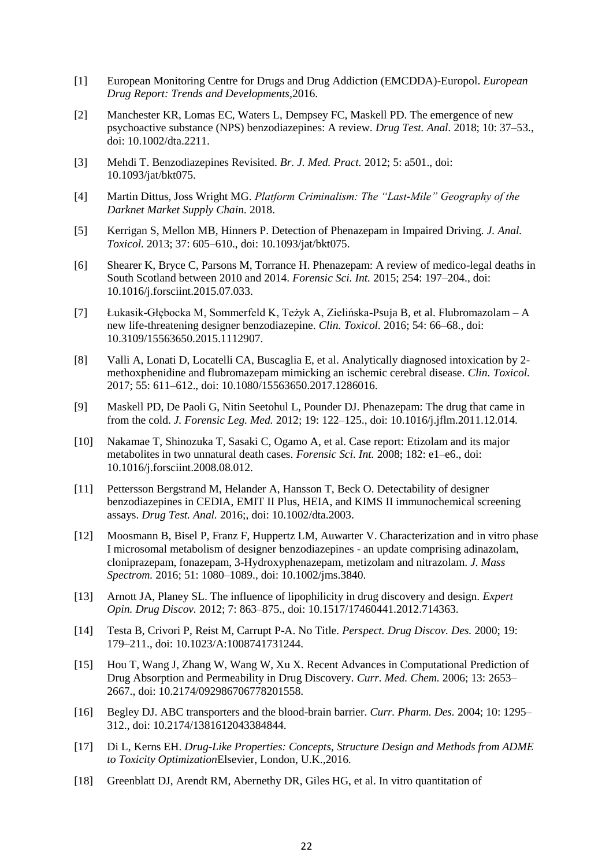- [1] European Monitoring Centre for Drugs and Drug Addiction (EMCDDA)-Europol. *European Drug Report: Trends and Developments,*2016.
- [2] Manchester KR, Lomas EC, Waters L, Dempsey FC, Maskell PD. The emergence of new psychoactive substance (NPS) benzodiazepines: A review. *Drug Test. Anal.* 2018; 10: 37–53., doi: 10.1002/dta.2211.
- [3] Mehdi T. Benzodiazepines Revisited. *Br. J. Med. Pract.* 2012; 5: a501., doi: 10.1093/jat/bkt075.
- [4] Martin Dittus, Joss Wright MG. *Platform Criminalism: The "Last-Mile" Geography of the Darknet Market Supply Chain.* 2018.
- [5] Kerrigan S, Mellon MB, Hinners P. Detection of Phenazepam in Impaired Driving. *J. Anal. Toxicol.* 2013; 37: 605–610., doi: 10.1093/jat/bkt075.
- [6] Shearer K, Bryce C, Parsons M, Torrance H. Phenazepam: A review of medico-legal deaths in South Scotland between 2010 and 2014. *Forensic Sci. Int.* 2015; 254: 197–204., doi: 10.1016/j.forsciint.2015.07.033.
- [7] Łukasik-Głębocka M, Sommerfeld K, Teżyk A, Zielińska-Psuja B, et al. Flubromazolam A new life-threatening designer benzodiazepine. *Clin. Toxicol.* 2016; 54: 66–68., doi: 10.3109/15563650.2015.1112907.
- [8] Valli A, Lonati D, Locatelli CA, Buscaglia E, et al. Analytically diagnosed intoxication by 2 methoxphenidine and flubromazepam mimicking an ischemic cerebral disease. *Clin. Toxicol.* 2017; 55: 611–612., doi: 10.1080/15563650.2017.1286016.
- [9] Maskell PD, De Paoli G, Nitin Seetohul L, Pounder DJ. Phenazepam: The drug that came in from the cold. *J. Forensic Leg. Med.* 2012; 19: 122–125., doi: 10.1016/j.jflm.2011.12.014.
- [10] Nakamae T, Shinozuka T, Sasaki C, Ogamo A, et al. Case report: Etizolam and its major metabolites in two unnatural death cases. *Forensic Sci. Int.* 2008; 182: e1–e6., doi: 10.1016/j.forsciint.2008.08.012.
- [11] Pettersson Bergstrand M, Helander A, Hansson T, Beck O. Detectability of designer benzodiazepines in CEDIA, EMIT II Plus, HEIA, and KIMS II immunochemical screening assays. *Drug Test. Anal.* 2016;, doi: 10.1002/dta.2003.
- [12] Moosmann B, Bisel P, Franz F, Huppertz LM, Auwarter V. Characterization and in vitro phase I microsomal metabolism of designer benzodiazepines - an update comprising adinazolam, cloniprazepam, fonazepam, 3-Hydroxyphenazepam, metizolam and nitrazolam. *J. Mass Spectrom.* 2016; 51: 1080–1089., doi: 10.1002/jms.3840.
- [13] Arnott JA, Planey SL. The influence of lipophilicity in drug discovery and design. *Expert Opin. Drug Discov.* 2012; 7: 863–875., doi: 10.1517/17460441.2012.714363.
- [14] Testa B, Crivori P, Reist M, Carrupt P-A. No Title. *Perspect. Drug Discov. Des.* 2000; 19: 179–211., doi: 10.1023/A:1008741731244.
- [15] Hou T, Wang J, Zhang W, Wang W, Xu X. Recent Advances in Computational Prediction of Drug Absorption and Permeability in Drug Discovery. *Curr. Med. Chem.* 2006; 13: 2653– 2667., doi: 10.2174/092986706778201558.
- [16] Begley DJ. ABC transporters and the blood-brain barrier. *Curr. Pharm. Des.* 2004; 10: 1295– 312., doi: 10.2174/1381612043384844.
- [17] Di L, Kerns EH. *Drug-Like Properties: Concepts, Structure Design and Methods from ADME to Toxicity Optimization*Elsevier, London, U.K.,2016.
- [18] Greenblatt DJ, Arendt RM, Abernethy DR, Giles HG, et al. In vitro quantitation of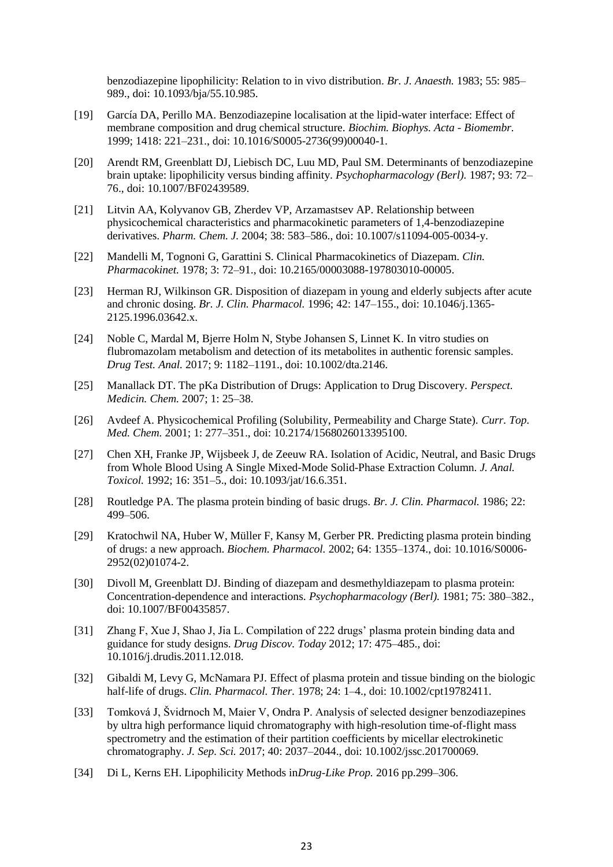benzodiazepine lipophilicity: Relation to in vivo distribution. *Br. J. Anaesth.* 1983; 55: 985– 989., doi: 10.1093/bja/55.10.985.

- [19] García DA, Perillo MA. Benzodiazepine localisation at the lipid-water interface: Effect of membrane composition and drug chemical structure. *Biochim. Biophys. Acta - Biomembr.* 1999; 1418: 221–231., doi: 10.1016/S0005-2736(99)00040-1.
- [20] Arendt RM, Greenblatt DJ, Liebisch DC, Luu MD, Paul SM. Determinants of benzodiazepine brain uptake: lipophilicity versus binding affinity. *Psychopharmacology (Berl).* 1987; 93: 72– 76., doi: 10.1007/BF02439589.
- [21] Litvin AA, Kolyvanov GB, Zherdev VP, Arzamastsev AP. Relationship between physicochemical characteristics and pharmacokinetic parameters of 1,4-benzodiazepine derivatives. *Pharm. Chem. J.* 2004; 38: 583–586., doi: 10.1007/s11094-005-0034-y.
- [22] Mandelli M, Tognoni G, Garattini S. Clinical Pharmacokinetics of Diazepam. *Clin. Pharmacokinet.* 1978; 3: 72–91., doi: 10.2165/00003088-197803010-00005.
- [23] Herman RJ, Wilkinson GR. Disposition of diazepam in young and elderly subjects after acute and chronic dosing. *Br. J. Clin. Pharmacol.* 1996; 42: 147–155., doi: 10.1046/j.1365- 2125.1996.03642.x.
- [24] Noble C, Mardal M, Bjerre Holm N, Stybe Johansen S, Linnet K. In vitro studies on flubromazolam metabolism and detection of its metabolites in authentic forensic samples. *Drug Test. Anal.* 2017; 9: 1182–1191., doi: 10.1002/dta.2146.
- [25] Manallack DT. The pKa Distribution of Drugs: Application to Drug Discovery. *Perspect. Medicin. Chem.* 2007; 1: 25–38.
- [26] Avdeef A. Physicochemical Profiling (Solubility, Permeability and Charge State). *Curr. Top. Med. Chem.* 2001; 1: 277–351., doi: 10.2174/1568026013395100.
- [27] Chen XH, Franke JP, Wijsbeek J, de Zeeuw RA. Isolation of Acidic, Neutral, and Basic Drugs from Whole Blood Using A Single Mixed-Mode Solid-Phase Extraction Column. *J. Anal. Toxicol.* 1992; 16: 351–5., doi: 10.1093/jat/16.6.351.
- [28] Routledge PA. The plasma protein binding of basic drugs. *Br. J. Clin. Pharmacol.* 1986; 22: 499–506.
- [29] Kratochwil NA, Huber W, Müller F, Kansy M, Gerber PR. Predicting plasma protein binding of drugs: a new approach. *Biochem. Pharmacol.* 2002; 64: 1355–1374., doi: 10.1016/S0006- 2952(02)01074-2.
- [30] Divoll M, Greenblatt DJ. Binding of diazepam and desmethyldiazepam to plasma protein: Concentration-dependence and interactions. *Psychopharmacology (Berl).* 1981; 75: 380–382., doi: 10.1007/BF00435857.
- [31] Zhang F, Xue J, Shao J, Jia L. Compilation of 222 drugs' plasma protein binding data and guidance for study designs. *Drug Discov. Today* 2012; 17: 475–485., doi: 10.1016/j.drudis.2011.12.018.
- [32] Gibaldi M, Levy G, McNamara PJ. Effect of plasma protein and tissue binding on the biologic half-life of drugs. *Clin. Pharmacol. Ther.* 1978; 24: 1–4., doi: 10.1002/cpt19782411.
- [33] Tomková J, Švidrnoch M, Maier V, Ondra P. Analysis of selected designer benzodiazepines by ultra high performance liquid chromatography with high-resolution time-of-flight mass spectrometry and the estimation of their partition coefficients by micellar electrokinetic chromatography. *J. Sep. Sci.* 2017; 40: 2037–2044., doi: 10.1002/jssc.201700069.
- [34] Di L, Kerns EH. Lipophilicity Methods in*Drug-Like Prop.* 2016 pp.299–306.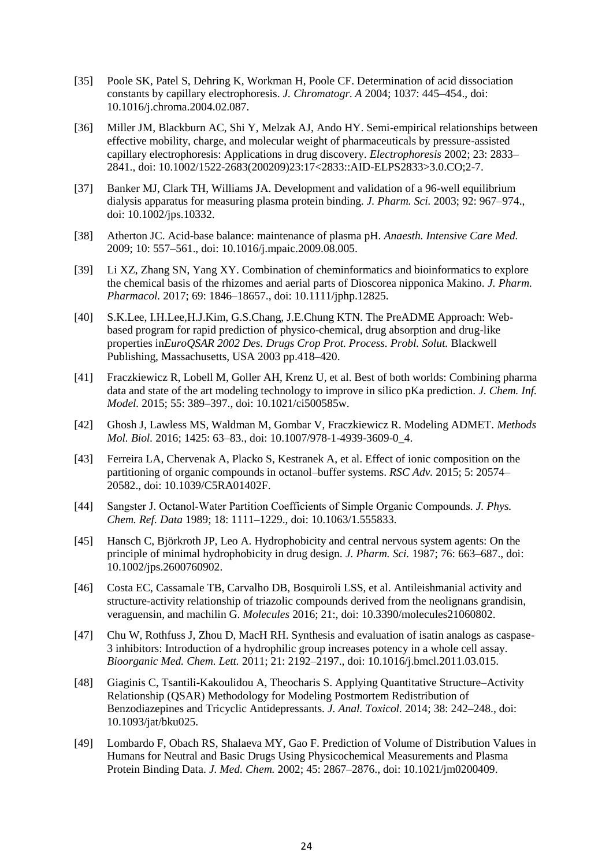- [35] Poole SK, Patel S, Dehring K, Workman H, Poole CF. Determination of acid dissociation constants by capillary electrophoresis. *J. Chromatogr. A* 2004; 1037: 445–454., doi: 10.1016/j.chroma.2004.02.087.
- [36] Miller JM, Blackburn AC, Shi Y, Melzak AJ, Ando HY. Semi-empirical relationships between effective mobility, charge, and molecular weight of pharmaceuticals by pressure-assisted capillary electrophoresis: Applications in drug discovery. *Electrophoresis* 2002; 23: 2833– 2841., doi: 10.1002/1522-2683(200209)23:17<2833::AID-ELPS2833>3.0.CO;2-7.
- [37] Banker MJ, Clark TH, Williams JA. Development and validation of a 96-well equilibrium dialysis apparatus for measuring plasma protein binding. *J. Pharm. Sci.* 2003; 92: 967–974., doi: 10.1002/jps.10332.
- [38] Atherton JC. Acid-base balance: maintenance of plasma pH. *Anaesth. Intensive Care Med.* 2009; 10: 557–561., doi: 10.1016/j.mpaic.2009.08.005.
- [39] Li XZ, Zhang SN, Yang XY. Combination of cheminformatics and bioinformatics to explore the chemical basis of the rhizomes and aerial parts of Dioscorea nipponica Makino. *J. Pharm. Pharmacol.* 2017; 69: 1846–18657., doi: 10.1111/jphp.12825.
- [40] S.K.Lee, I.H.Lee,H.J.Kim, G.S.Chang, J.E.Chung KTN. The PreADME Approach: Webbased program for rapid prediction of physico-chemical, drug absorption and drug-like properties in*EuroQSAR 2002 Des. Drugs Crop Prot. Process. Probl. Solut.* Blackwell Publishing, Massachusetts, USA 2003 pp.418–420.
- [41] Fraczkiewicz R, Lobell M, Goller AH, Krenz U, et al. Best of both worlds: Combining pharma data and state of the art modeling technology to improve in silico pKa prediction. *J. Chem. Inf. Model.* 2015; 55: 389–397., doi: 10.1021/ci500585w.
- [42] Ghosh J, Lawless MS, Waldman M, Gombar V, Fraczkiewicz R. Modeling ADMET. *Methods Mol. Biol.* 2016; 1425: 63–83., doi: 10.1007/978-1-4939-3609-0\_4.
- [43] Ferreira LA, Chervenak A, Placko S, Kestranek A, et al. Effect of ionic composition on the partitioning of organic compounds in octanol–buffer systems. *RSC Adv.* 2015; 5: 20574– 20582., doi: 10.1039/C5RA01402F.
- [44] Sangster J. Octanol‐Water Partition Coefficients of Simple Organic Compounds. *J. Phys. Chem. Ref. Data* 1989; 18: 1111–1229., doi: 10.1063/1.555833.
- [45] Hansch C, Björkroth JP, Leo A. Hydrophobicity and central nervous system agents: On the principle of minimal hydrophobicity in drug design. *J. Pharm. Sci.* 1987; 76: 663–687., doi: 10.1002/jps.2600760902.
- [46] Costa EC, Cassamale TB, Carvalho DB, Bosquiroli LSS, et al. Antileishmanial activity and structure-activity relationship of triazolic compounds derived from the neolignans grandisin, veraguensin, and machilin G. *Molecules* 2016; 21:, doi: 10.3390/molecules21060802.
- [47] Chu W, Rothfuss J, Zhou D, MacH RH. Synthesis and evaluation of isatin analogs as caspase-3 inhibitors: Introduction of a hydrophilic group increases potency in a whole cell assay. *Bioorganic Med. Chem. Lett.* 2011; 21: 2192–2197., doi: 10.1016/j.bmcl.2011.03.015.
- [48] Giaginis C, Tsantili-Kakoulidou A, Theocharis S. Applying Quantitative Structure–Activity Relationship (QSAR) Methodology for Modeling Postmortem Redistribution of Benzodiazepines and Tricyclic Antidepressants. *J. Anal. Toxicol.* 2014; 38: 242–248., doi: 10.1093/jat/bku025.
- [49] Lombardo F, Obach RS, Shalaeva MY, Gao F. Prediction of Volume of Distribution Values in Humans for Neutral and Basic Drugs Using Physicochemical Measurements and Plasma Protein Binding Data. *J. Med. Chem.* 2002; 45: 2867–2876., doi: 10.1021/jm0200409.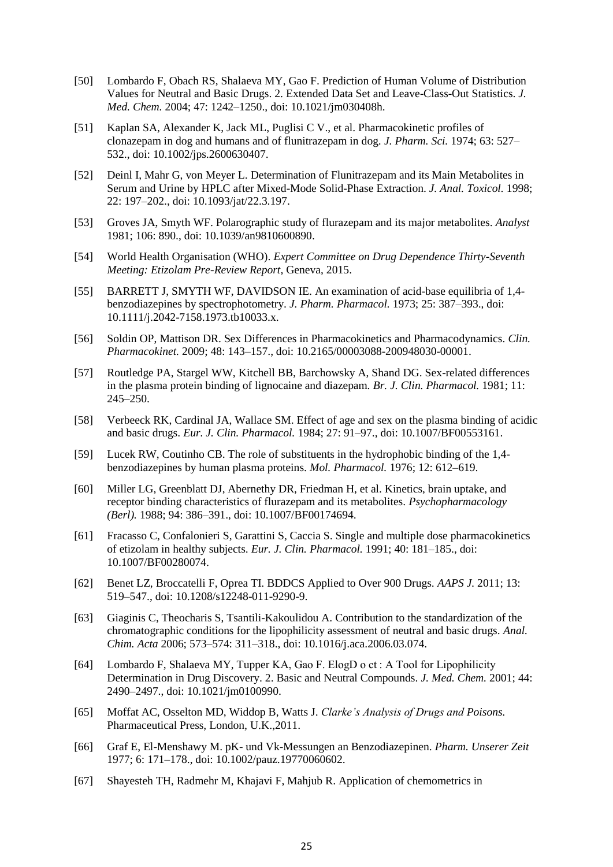- [50] Lombardo F, Obach RS, Shalaeva MY, Gao F. Prediction of Human Volume of Distribution Values for Neutral and Basic Drugs. 2. Extended Data Set and Leave-Class-Out Statistics. *J. Med. Chem.* 2004; 47: 1242–1250., doi: 10.1021/jm030408h.
- [51] Kaplan SA, Alexander K, Jack ML, Puglisi C V., et al. Pharmacokinetic profiles of clonazepam in dog and humans and of flunitrazepam in dog. *J. Pharm. Sci.* 1974; 63: 527– 532., doi: 10.1002/jps.2600630407.
- [52] Deinl I, Mahr G, von Meyer L. Determination of Flunitrazepam and its Main Metabolites in Serum and Urine by HPLC after Mixed-Mode Solid-Phase Extraction. *J. Anal. Toxicol.* 1998; 22: 197–202., doi: 10.1093/jat/22.3.197.
- [53] Groves JA, Smyth WF. Polarographic study of flurazepam and its major metabolites. *Analyst* 1981; 106: 890., doi: 10.1039/an9810600890.
- [54] World Health Organisation (WHO). *Expert Committee on Drug Dependence Thirty-Seventh Meeting: Etizolam Pre-Review Report,* Geneva, 2015.
- [55] BARRETT J, SMYTH WF, DAVIDSON IE. An examination of acid-base equilibria of 1,4 benzodiazepines by spectrophotometry. *J. Pharm. Pharmacol.* 1973; 25: 387–393., doi: 10.1111/j.2042-7158.1973.tb10033.x.
- [56] Soldin OP, Mattison DR. Sex Differences in Pharmacokinetics and Pharmacodynamics. *Clin. Pharmacokinet.* 2009; 48: 143–157., doi: 10.2165/00003088-200948030-00001.
- [57] Routledge PA, Stargel WW, Kitchell BB, Barchowsky A, Shand DG. Sex-related differences in the plasma protein binding of lignocaine and diazepam. *Br. J. Clin. Pharmacol.* 1981; 11: 245–250.
- [58] Verbeeck RK, Cardinal JA, Wallace SM. Effect of age and sex on the plasma binding of acidic and basic drugs. *Eur. J. Clin. Pharmacol.* 1984; 27: 91–97., doi: 10.1007/BF00553161.
- [59] Lucek RW, Coutinho CB. The role of substituents in the hydrophobic binding of the 1,4 benzodiazepines by human plasma proteins. *Mol. Pharmacol.* 1976; 12: 612–619.
- [60] Miller LG, Greenblatt DJ, Abernethy DR, Friedman H, et al. Kinetics, brain uptake, and receptor binding characteristics of flurazepam and its metabolites. *Psychopharmacology (Berl).* 1988; 94: 386–391., doi: 10.1007/BF00174694.
- [61] Fracasso C, Confalonieri S, Garattini S, Caccia S. Single and multiple dose pharmacokinetics of etizolam in healthy subjects. *Eur. J. Clin. Pharmacol.* 1991; 40: 181–185., doi: 10.1007/BF00280074.
- [62] Benet LZ, Broccatelli F, Oprea TI. BDDCS Applied to Over 900 Drugs. *AAPS J.* 2011; 13: 519–547., doi: 10.1208/s12248-011-9290-9.
- [63] Giaginis C, Theocharis S, Tsantili-Kakoulidou A. Contribution to the standardization of the chromatographic conditions for the lipophilicity assessment of neutral and basic drugs. *Anal. Chim. Acta* 2006; 573–574: 311–318., doi: 10.1016/j.aca.2006.03.074.
- [64] Lombardo F, Shalaeva MY, Tupper KA, Gao F. ElogD o ct : A Tool for Lipophilicity Determination in Drug Discovery. 2. Basic and Neutral Compounds. *J. Med. Chem.* 2001; 44: 2490–2497., doi: 10.1021/jm0100990.
- [65] Moffat AC, Osselton MD, Widdop B, Watts J. *Clarke's Analysis of Drugs and Poisons.*  Pharmaceutical Press, London, U.K.,2011.
- [66] Graf E, El-Menshawy M. pK- und Vk-Messungen an Benzodiazepinen. *Pharm. Unserer Zeit* 1977; 6: 171–178., doi: 10.1002/pauz.19770060602.
- [67] Shayesteh TH, Radmehr M, Khajavi F, Mahjub R. Application of chemometrics in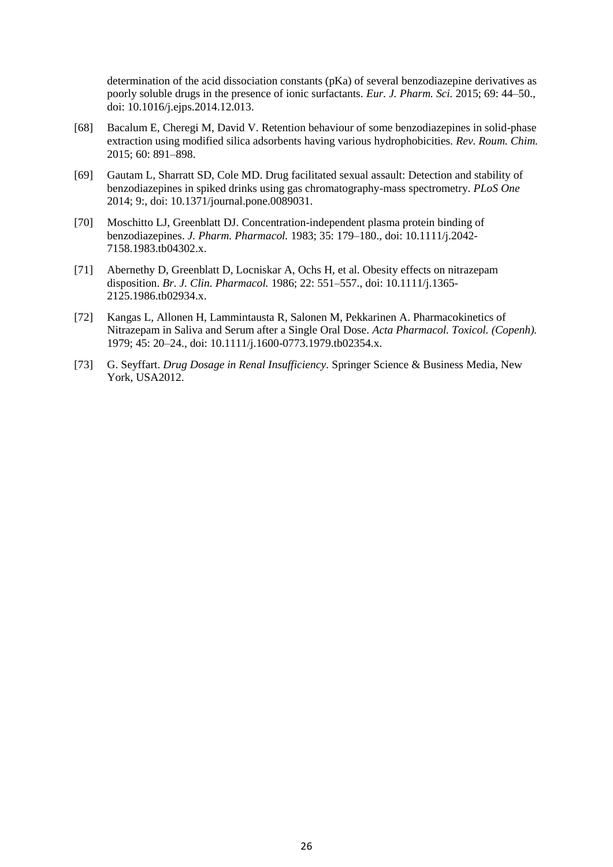determination of the acid dissociation constants (pKa) of several benzodiazepine derivatives as poorly soluble drugs in the presence of ionic surfactants. *Eur. J. Pharm. Sci.* 2015; 69: 44–50., doi: 10.1016/j.ejps.2014.12.013.

- [68] Bacalum E, Cheregi M, David V. Retention behaviour of some benzodiazepines in solid-phase extraction using modified silica adsorbents having various hydrophobicities. *Rev. Roum. Chim.* 2015; 60: 891–898.
- [69] Gautam L, Sharratt SD, Cole MD. Drug facilitated sexual assault: Detection and stability of benzodiazepines in spiked drinks using gas chromatography-mass spectrometry. *PLoS One* 2014; 9:, doi: 10.1371/journal.pone.0089031.
- [70] Moschitto LJ, Greenblatt DJ. Concentration-independent plasma protein binding of benzodiazepines. *J. Pharm. Pharmacol.* 1983; 35: 179–180., doi: 10.1111/j.2042- 7158.1983.tb04302.x.
- [71] Abernethy D, Greenblatt D, Locniskar A, Ochs H, et al. Obesity effects on nitrazepam disposition. *Br. J. Clin. Pharmacol.* 1986; 22: 551–557., doi: 10.1111/j.1365- 2125.1986.tb02934.x.
- [72] Kangas L, Allonen H, Lammintausta R, Salonen M, Pekkarinen A. Pharmacokinetics of Nitrazepam in Saliva and Serum after a Single Oral Dose. *Acta Pharmacol. Toxicol. (Copenh).* 1979; 45: 20–24., doi: 10.1111/j.1600-0773.1979.tb02354.x.
- [73] G. Seyffart. *Drug Dosage in Renal Insufficiency.* Springer Science & Business Media, New York, USA2012.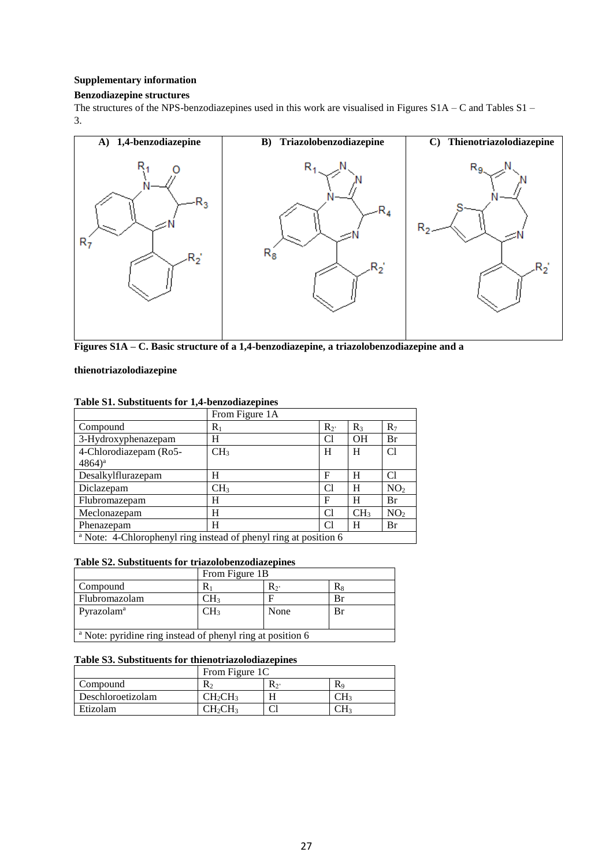### **Supplementary information**

### **Benzodiazepine structures**

The structures of the NPS-benzodiazepines used in this work are visualised in Figures S1A – C and Tables S1 – 3.



**Figures S1A – C. Basic structure of a 1,4-benzodiazepine, a triazolobenzodiazepine and a** 

#### **thienotriazolodiazepine**

|                                                                             | From Figure 1A  |       |                 |                 |
|-----------------------------------------------------------------------------|-----------------|-------|-----------------|-----------------|
| Compound                                                                    | $R_1$           | $R_2$ | $R_3$           | $R_7$           |
| 3-Hydroxyphenazepam                                                         | н               | C1    | OH              | Br              |
| 4-Chlorodiazepam (Ro5-                                                      | CH <sub>3</sub> | H     | H               | Cl              |
| $(4864)^{a}$                                                                |                 |       |                 |                 |
| Desalkylflurazepam                                                          | Н               | F     | H               | Сl              |
| Diclazepam                                                                  | CH <sub>3</sub> | C1    | н               | NO <sub>2</sub> |
| Flubromazepam                                                               | н               | F     | н               | Br              |
| Meclonazepam                                                                | H               | C1    | CH <sub>3</sub> | NO <sub>2</sub> |
| Phenazepam                                                                  | н               | C1    | H               | Br              |
| <sup>a</sup> Note: 4-Chlorophenyl ring instead of phenyl ring at position 6 |                 |       |                 |                 |

# **Table S1. Substituents for 1,4-benzodiazepines**

### **Table S2. Substituents for triazolobenzodiazepines**

|                                                                       | From Figure 1B |                |    |  |  |
|-----------------------------------------------------------------------|----------------|----------------|----|--|--|
| Compound                                                              | R۱             | $\mathbf{R}_2$ | Rя |  |  |
| Flubromazolam                                                         | CH3            |                | Br |  |  |
| Pyrazolam <sup>a</sup>                                                | CH3            | None           | Br |  |  |
|                                                                       |                |                |    |  |  |
| <sup>a</sup> Note: pyridine ring instead of phenyl ring at position 6 |                |                |    |  |  |

## **Table S3. Substituents for thienotriazolodiazepines**

|                   | From Figure 1C                  |     |    |  |  |
|-------------------|---------------------------------|-----|----|--|--|
| Compound          | $R_2$                           | R2, | Кç |  |  |
| Deschloroetizolam | CH <sub>2</sub> CH <sub>3</sub> |     |    |  |  |
| Etizolam          | CH <sub>2</sub> CH <sub>3</sub> |     |    |  |  |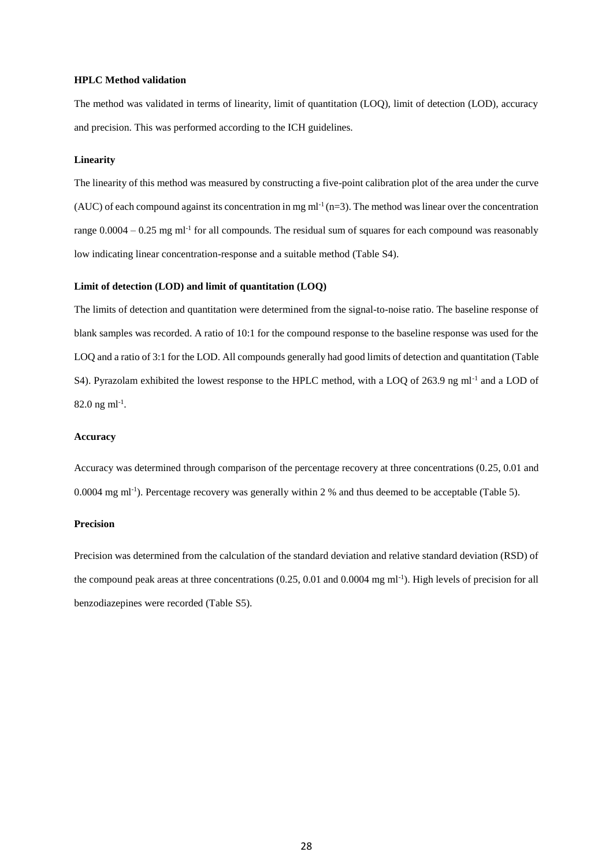#### **HPLC Method validation**

The method was validated in terms of linearity, limit of quantitation (LOQ), limit of detection (LOD), accuracy and precision. This was performed according to the ICH guidelines.

#### **Linearity**

The linearity of this method was measured by constructing a five-point calibration plot of the area under the curve (AUC) of each compound against its concentration in mg  $ml^{-1}(n=3)$ . The method was linear over the concentration range  $0.0004 - 0.25$  mg ml<sup>-1</sup> for all compounds. The residual sum of squares for each compound was reasonably low indicating linear concentration-response and a suitable method (Table S4).

### **Limit of detection (LOD) and limit of quantitation (LOQ)**

The limits of detection and quantitation were determined from the signal-to-noise ratio. The baseline response of blank samples was recorded. A ratio of 10:1 for the compound response to the baseline response was used for the LOQ and a ratio of 3:1 for the LOD. All compounds generally had good limits of detection and quantitation (Table S4). Pyrazolam exhibited the lowest response to the HPLC method, with a LOQ of 263.9 ng ml<sup>-1</sup> and a LOD of 82.0 ng m $1^{-1}$ .

#### **Accuracy**

Accuracy was determined through comparison of the percentage recovery at three concentrations (0.25, 0.01 and 0.0004 mg ml-1 ). Percentage recovery was generally within 2 % and thus deemed to be acceptable (Table 5).

#### **Precision**

Precision was determined from the calculation of the standard deviation and relative standard deviation (RSD) of the compound peak areas at three concentrations (0.25, 0.01 and 0.0004 mg ml<sup>-1</sup>). High levels of precision for all benzodiazepines were recorded (Table S5).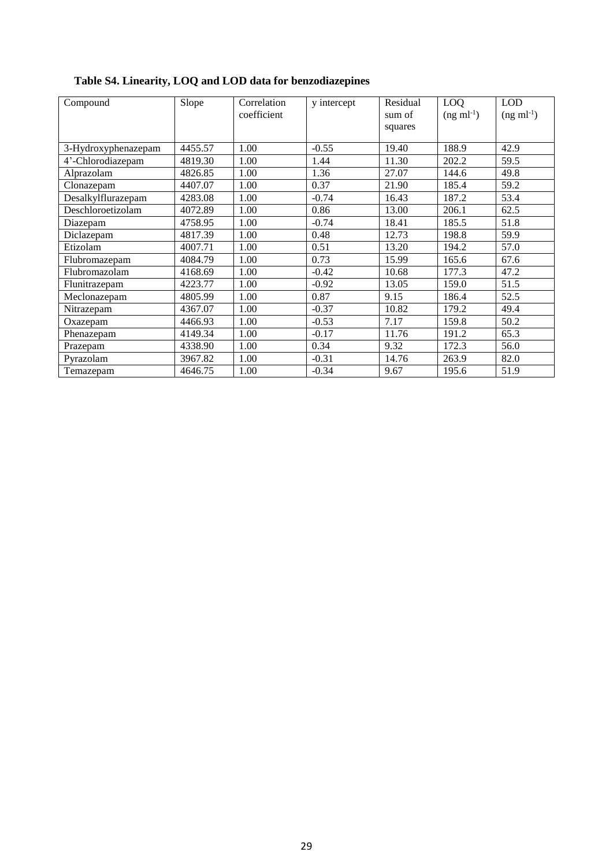| Compound            | Slope   | Correlation<br>coefficient | y intercept | Residual<br>sum of<br>squares | LOQ<br>$(ng \text{ ml}^{-1})$ | <b>LOD</b><br>$(ng \text{ ml}^{-1})$ |
|---------------------|---------|----------------------------|-------------|-------------------------------|-------------------------------|--------------------------------------|
| 3-Hydroxyphenazepam | 4455.57 | 1.00                       | $-0.55$     | 19.40                         | 188.9                         | 42.9                                 |
| 4'-Chlorodiazepam   | 4819.30 | 1.00                       | 1.44        | 11.30                         | 202.2                         | 59.5                                 |
| Alprazolam          | 4826.85 | 1.00                       | 1.36        | 27.07                         | 144.6                         | 49.8                                 |
| Clonazepam          | 4407.07 | 1.00                       | 0.37        | 21.90                         | 185.4                         | 59.2                                 |
| Desalkylflurazepam  | 4283.08 | 1.00                       | $-0.74$     | 16.43                         | 187.2                         | 53.4                                 |
| Deschloroetizolam   | 4072.89 | 1.00                       | 0.86        | 13.00                         | 206.1                         | 62.5                                 |
| Diazepam            | 4758.95 | 1.00                       | $-0.74$     | 18.41                         | 185.5                         | 51.8                                 |
| Diclazepam          | 4817.39 | 1.00                       | 0.48        | 12.73                         | 198.8                         | 59.9                                 |
| Etizolam            | 4007.71 | 1.00                       | 0.51        | 13.20                         | 194.2                         | 57.0                                 |
| Flubromazepam       | 4084.79 | 1.00                       | 0.73        | 15.99                         | 165.6                         | 67.6                                 |
| Flubromazolam       | 4168.69 | 1.00                       | $-0.42$     | 10.68                         | 177.3                         | 47.2                                 |
| Flunitrazepam       | 4223.77 | 1.00                       | $-0.92$     | 13.05                         | 159.0                         | 51.5                                 |
| Meclonazepam        | 4805.99 | 1.00                       | 0.87        | 9.15                          | 186.4                         | 52.5                                 |
| Nitrazepam          | 4367.07 | 1.00                       | $-0.37$     | 10.82                         | 179.2                         | 49.4                                 |
| Oxazepam            | 4466.93 | 1.00                       | $-0.53$     | 7.17                          | 159.8                         | 50.2                                 |
| Phenazepam          | 4149.34 | 1.00                       | $-0.17$     | 11.76                         | 191.2                         | 65.3                                 |
| Prazepam            | 4338.90 | 1.00                       | 0.34        | 9.32                          | 172.3                         | 56.0                                 |
| Pyrazolam           | 3967.82 | 1.00                       | $-0.31$     | 14.76                         | 263.9                         | 82.0                                 |
| Temazepam           | 4646.75 | 1.00                       | $-0.34$     | 9.67                          | 195.6                         | 51.9                                 |

# **Table S4. Linearity, LOQ and LOD data for benzodiazepines**